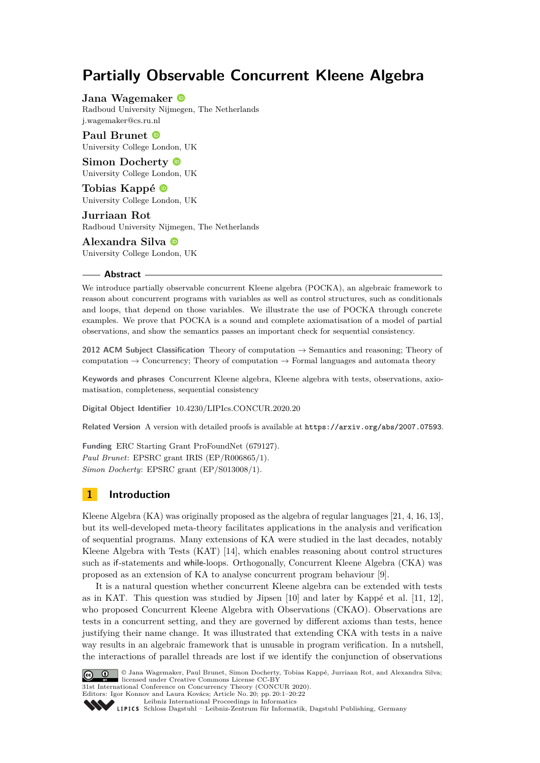# **Partially Observable Concurrent Kleene Algebra**

**Jana Wagemaker** Radboud University Nijmegen, The Netherlands [j.wagemaker@cs.ru.nl](mailto:j.wagemaker@cs.ru.nl)

**Paul Brunet** University College London, UK

**Simon Docherty** University College London, UK

**Tobias Kappé** University College London, UK

**Jurriaan Rot** Radboud University Nijmegen, The Netherlands

**Alexandra Silva** University College London, UK

#### **Abstract**

We introduce partially observable concurrent Kleene algebra (POCKA), an algebraic framework to reason about concurrent programs with variables as well as control structures, such as conditionals and loops, that depend on those variables. We illustrate the use of POCKA through concrete examples. We prove that POCKA is a sound and complete axiomatisation of a model of partial observations, and show the semantics passes an important check for sequential consistency.

**2012 ACM Subject Classification** Theory of computation → Semantics and reasoning; Theory of computation  $\rightarrow$  Concurrency; Theory of computation  $\rightarrow$  Formal languages and automata theory

**Keywords and phrases** Concurrent Kleene algebra, Kleene algebra with tests, observations, axiomatisation, completeness, sequential consistency

**Digital Object Identifier** [10.4230/LIPIcs.CONCUR.2020.20](https://doi.org/10.4230/LIPIcs.CONCUR.2020.20)

Related Version A version with detailed proofs is available at <https://arxiv.org/abs/2007.07593>.

**Funding** ERC Starting Grant ProFoundNet (679127). *Paul Brunet*: EPSRC grant IRIS (EP/R006865/1). *Simon Docherty*: EPSRC grant (EP/S013008/1).

# **1 Introduction**

Kleene Algebra (KA) was originally proposed as the algebra of regular languages [\[21,](#page-16-0) [4,](#page-16-1) [16,](#page-16-2) [13\]](#page-16-3), but its well-developed meta-theory facilitates applications in the analysis and verification of sequential programs. Many extensions of KA were studied in the last decades, notably Kleene Algebra with Tests (KAT) [\[14\]](#page-16-4), which enables reasoning about control structures such as if-statements and while-loops. Orthogonally, Concurrent Kleene Algebra (CKA) was proposed as an extension of KA to analyse concurrent program behaviour [\[9\]](#page-16-5).

It is a natural question whether concurrent Kleene algebra can be extended with tests as in KAT. This question was studied by Jipsen [\[10\]](#page-16-6) and later by Kappé et al. [\[11,](#page-16-7) [12\]](#page-16-8), who proposed Concurrent Kleene Algebra with Observations (CKAO). Observations are tests in a concurrent setting, and they are governed by different axioms than tests, hence justifying their name change. It was illustrated that extending CKA with tests in a naive way results in an algebraic framework that is unusable in program verification. In a nutshell, the interactions of parallel threads are lost if we identify the conjunction of observations



© Jana Wagemaker, Paul Brunet, Simon Docherty, Tobias Kappé, Jurriaan Rot, and Alexandra Silva; licensed under Creative Commons License CC-BY

31st International Conference on Concurrency Theory (CONCUR 2020). Editors: Igor Konnov and Laura Kovács; Article No. 20; pp. 20:1–20[:22](#page-21-0)

[Leibniz International Proceedings in Informatics](https://www.dagstuhl.de/lipics/)

[Schloss Dagstuhl – Leibniz-Zentrum für Informatik, Dagstuhl Publishing, Germany](https://www.dagstuhl.de)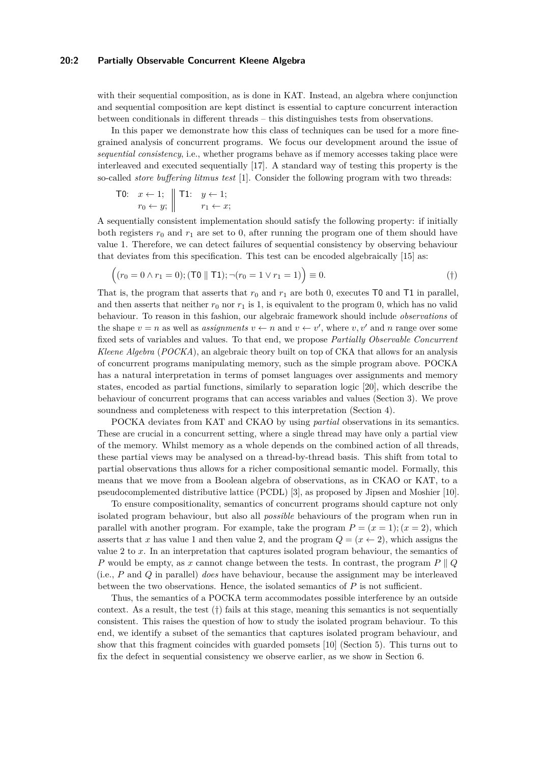# **20:2 Partially Observable Concurrent Kleene Algebra**

with their sequential composition, as is done in KAT. Instead, an algebra where conjunction and sequential composition are kept distinct is essential to capture concurrent interaction between conditionals in different threads – this distinguishes tests from observations.

In this paper we demonstrate how this class of techniques can be used for a more finegrained analysis of concurrent programs. We focus our development around the issue of *sequential consistency*, i.e., whether programs behave as if memory accesses taking place were interleaved and executed sequentially [\[17\]](#page-16-9). A standard way of testing this property is the so-called *store buffering litmus test* [\[1\]](#page-16-10). Consider the following program with two threads:

$$
\begin{array}{ll}\n\text{TO:} & x \leftarrow 1; \\
& r_0 \leftarrow y; \\
& \middle| \quad \text{T1:} \quad y \leftarrow 1; \\
& r_1 \leftarrow x; \\
\end{array}
$$

A sequentially consistent implementation should satisfy the following property: if initially both registers  $r_0$  and  $r_1$  are set to 0, after running the program one of them should have value 1. Therefore, we can detect failures of sequential consistency by observing behaviour that deviates from this specification. This test can be encoded algebraically [\[15\]](#page-16-11) as:

<span id="page-1-0"></span>
$$
((r_0 = 0 \land r_1 = 0); (T0 || T1); \neg (r_0 = 1 \lor r_1 = 1)) \equiv 0.
$$
 (†)

That is, the program that asserts that  $r_0$  and  $r_1$  are both 0, executes T0 and T1 in parallel, and then asserts that neither  $r_0$  nor  $r_1$  is 1, is equivalent to the program 0, which has no valid behaviour. To reason in this fashion, our algebraic framework should include *observations* of the shape  $v = n$  as well as *assignments*  $v \leftarrow n$  and  $v \leftarrow v'$ , where  $v, v'$  and  $n$  range over some fixed sets of variables and values. To that end, we propose *Partially Observable Concurrent Kleene Algebra* (*POCKA*), an algebraic theory built on top of CKA that allows for an analysis of concurrent programs manipulating memory, such as the simple program above. POCKA has a natural interpretation in terms of pomset languages over assignments and memory states, encoded as partial functions, similarly to separation logic [\[20\]](#page-16-12), which describe the behaviour of concurrent programs that can access variables and values (Section [3\)](#page-4-0). We prove soundness and completeness with respect to this interpretation (Section [4\)](#page-8-0).

POCKA deviates from KAT and CKAO by using *partial* observations in its semantics. These are crucial in a concurrent setting, where a single thread may have only a partial view of the memory. Whilst memory as a whole depends on the combined action of all threads, these partial views may be analysed on a thread-by-thread basis. This shift from total to partial observations thus allows for a richer compositional semantic model. Formally, this means that we move from a Boolean algebra of observations, as in CKAO or KAT, to a pseudocomplemented distributive lattice (PCDL) [\[3\]](#page-16-13), as proposed by Jipsen and Moshier [\[10\]](#page-16-6).

To ensure compositionality, semantics of concurrent programs should capture not only isolated program behaviour, but also all *possible* behaviours of the program when run in parallel with another program. For example, take the program  $P = (x = 1); (x = 2)$ , which asserts that *x* has value 1 and then value 2, and the program  $Q = (x \leftarrow 2)$ , which assigns the value 2 to *x*. In an interpretation that captures isolated program behaviour, the semantics of *P* would be empty, as *x* cannot change between the tests. In contrast, the program  $P \parallel Q$ (i.e., *P* and *Q* in parallel) *does* have behaviour, because the assignment may be interleaved between the two observations. Hence, the isolated semantics of *P* is not sufficient.

Thus, the semantics of a POCKA term accommodates possible interference by an outside context. As a result, the test  $(\dagger)$  fails at this stage, meaning this semantics is not sequentially consistent. This raises the question of how to study the isolated program behaviour. To this end, we identify a subset of the semantics that captures isolated program behaviour, and show that this fragment coincides with guarded pomsets [\[10\]](#page-16-6) (Section [5\)](#page-10-0). This turns out to fix the defect in sequential consistency we observe earlier, as we show in Section [6.](#page-13-0)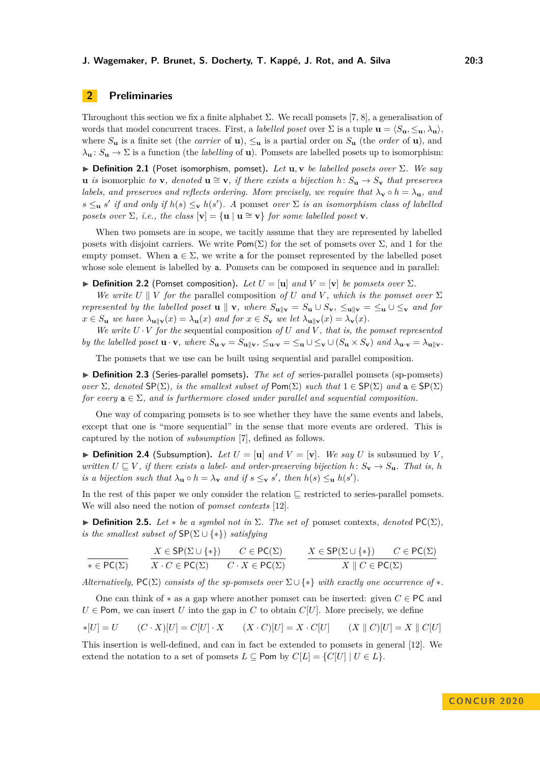# **2 Preliminaries**

Throughout this section we fix a finite alphabet  $\Sigma$ . We recall pomsets [\[7,](#page-16-14) [8\]](#page-16-15), a generalisation of words that model concurrent traces. First, a *labelled poset* over  $\Sigma$  is a tuple  $\mathbf{u} = \langle S_{\mathbf{u}}, \leq_{\mathbf{u}}, \lambda_{\mathbf{u}} \rangle$ , where  $S_{\mathbf{u}}$  is a finite set (the *carrier* of **u**),  $\leq_{\mathbf{u}}$  is a partial order on  $S_{\mathbf{u}}$  (the *order* of **u**), and  $\lambda_{\mathbf{u}}: S_{\mathbf{u}} \to \Sigma$  is a function (the *labelling* of **u**). Pomsets are labelled posets up to isomorphism:

<span id="page-2-0"></span> $▶$  **Definition 2.1** (Poset isomorphism, pomset). Let **u**, **v** *be labelled posets over*  $Σ$ *. We say* **u** *is* isomorphic *to* **v***,* denoted **u**  $\cong$  **v***,* if there exists a bijection  $h: S_u \to S_v$  that preserves *labels, and preserves and reflects ordering. More precisely, we require that*  $\lambda_{\mathbf{v}} \circ h = \lambda_{\mathbf{u}}$ *, and*  $s \leq_{\mathbf{u}} s'$  *if and only if*  $h(s) \leq_{\mathbf{v}} h(s')$ . A pomset *over*  $\Sigma$  *is an isomorphism class of labelled posets over*  $\Sigma$ *, i.e., the class*  $[\mathbf{v}] = {\mathbf{u} \mid \mathbf{u} \cong \mathbf{v}}$  *for some labelled poset* **v***.* 

When two pomsets are in scope, we tacitly assume that they are represented by labelled posets with disjoint carriers. We write  $\text{Pom}(\Sigma)$  for the set of pomsets over  $\Sigma$ , and 1 for the empty pomset. When  $a \in \Sigma$ , we write a for the pomset represented by the labelled poset whose sole element is labelled by a. Pomsets can be composed in sequence and in parallel:

 $\blacktriangleright$  **Definition 2.2** (Pomset composition). Let  $U = [\mathbf{u}]$  and  $V = [\mathbf{v}]$  be pomsets over  $\Sigma$ .

*We write U* | *V for the* parallel composition *of U and V*, which is the pomset over  $\Sigma$ *represented by the labelled poset* **u**  $\parallel$  **v***, where*  $S_{\mathbf{u}\parallel\mathbf{v}} = S_{\mathbf{u}} \cup S_{\mathbf{v}}$ ,  $\leq_{\mathbf{u}\parallel\mathbf{v}} = \leq_{\mathbf{u}} \cup \leq_{\mathbf{v}}$  and for  $x \in S_{\mathbf{u}}$  we have  $\lambda_{\mathbf{u} \parallel \mathbf{v}}(x) = \lambda_{\mathbf{u}}(x)$  and for  $x \in S_{\mathbf{v}}$  we let  $\lambda_{\mathbf{u} \parallel \mathbf{v}}(x) = \lambda_{\mathbf{v}}(x)$ .

*We write*  $U \cdot V$  *for the* sequential composition *of*  $U$  *and*  $V$ *, that is, the pomset represented* by the labelled poset  $\mathbf{u} \cdot \mathbf{v}$ , where  $S_{\mathbf{u} \cdot \mathbf{v}} = S_{\mathbf{u} \parallel \mathbf{v}}$ ,  $\leq_{\mathbf{u} \cdot \mathbf{v}} = \leq_{\mathbf{u}} \cup \leq_{\mathbf{v}} \cup (S_{\mathbf{u}} \times S_{\mathbf{v}})$  and  $\lambda_{\mathbf{u} \cdot \mathbf{v}} = \lambda_{\mathbf{u} \parallel \mathbf{v}}$ .

The pomsets that we use can be built using sequential and parallel composition.

▶ **Definition 2.3** (Series-parallel pomsets). *The set of* series-parallel pomsets (sp-pomsets) *over*  $\Sigma$ *, denoted*  $\mathsf{SP}(\Sigma)$ *, is the smallest subset of*  $\mathsf{Pom}(\Sigma)$  *such that*  $1 \in \mathsf{SP}(\Sigma)$  *and*  $a \in \mathsf{SP}(\Sigma)$ *for every*  $a \in \Sigma$ *, and is furthermore closed under parallel and sequential composition.* 

One way of comparing pomsets is to see whether they have the same events and labels, except that one is "more sequential" in the sense that more events are ordered. This is captured by the notion of *subsumption* [\[7\]](#page-16-14), defined as follows.

 $\triangleright$  **Definition 2.4** (Subsumption). Let  $U = [\mathbf{u}]$  and  $V = [\mathbf{v}]$ . We say U is subsumed by V, *written*  $U \subseteq V$ , *if there exists a label- and order-preserving bijection*  $h: S_{\mathbf{v}} \to S_{\mathbf{u}}$ *. That is, h is a bijection such that*  $\lambda_{\mathbf{u}} \circ h = \lambda_{\mathbf{v}}$  *and if*  $s \leq_{\mathbf{v}} s'$ , *then*  $h(s) \leq_{\mathbf{u}} h(s')$ *.* 

In the rest of this paper we only consider the relation  $\subseteq$  restricted to series-parallel pomsets. We will also need the notion of *pomset contexts* [\[12\]](#page-16-8).

 $▶$  **Definition 2.5.** *Let*  $∗$  *be a symbol not in*  $Σ$ *. The set of* pomset contexts*, denoted*  $PC(Σ)$ *, is the smallest subset of*  $\text{SP}(\Sigma \cup \{*\})$  *satisfying* 

$$
\frac{X \in \mathsf{SP}(\Sigma \cup \{*\})}{X \cdot C \in \mathsf{PC}(\Sigma)} \qquad \frac{X \in \mathsf{SP}(\Sigma \cup \{*\})}{X \cdot C \in \mathsf{PC}(\Sigma)} \qquad \frac{X \in \mathsf{SP}(\Sigma \cup \{*\})}{X \parallel C \in \mathsf{PC}(\Sigma)} \qquad \frac{X \in \mathsf{SP}(\Sigma \cup \{*\})}{X \parallel C \in \mathsf{PC}(\Sigma)}
$$

*Alternatively,*  $PC(\Sigma)$  *consists of the sp-pomsets over*  $\Sigma \cup \{*\}$  *with exactly one occurrence of*  $*$ .

One can think of ∗ as a gap where another pomset can be inserted: given *C* ∈ PC and  $U \in$  Pom, we can insert *U* into the gap in *C* to obtain *C*[*U*]. More precisely, we define

$$
*[U] = U \qquad (C \cdot X)[U] = C[U] \cdot X \qquad (X \cdot C)[U] = X \cdot C[U] \qquad (X \parallel C)[U] = X \parallel C[U]
$$

This insertion is well-defined, and can in fact be extended to pomsets in general [\[12\]](#page-16-8). We extend the notation to a set of pomsets  $L \subseteq$  Pom by  $C[L] = \{C[U] | U \in L\}$ .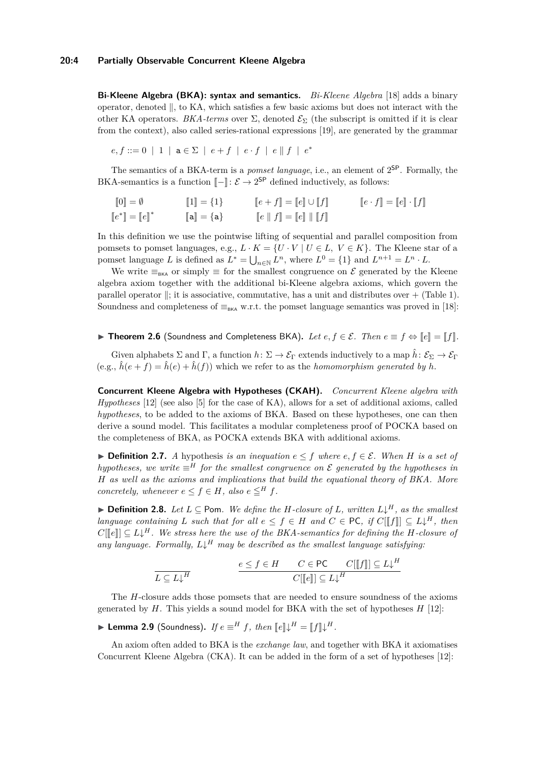**Bi-Kleene Algebra (BKA): syntax and semantics.** *Bi-Kleene Algebra* [\[18\]](#page-16-16) adds a binary operator, denoted  $\parallel$ , to KA, which satisfies a few basic axioms but does not interact with the other KA operators. *BKA-terms* over  $\Sigma$ , denoted  $\mathcal{E}_{\Sigma}$  (the subscript is omitted if it is clear from the context), also called series-rational expressions [\[19\]](#page-16-17), are generated by the grammar

 $e, f ::= 0 | 1 | a \in \Sigma | e+f | e \cdot f | e || f | e^*$ 

The semantics of a BKA-term is a *pomset language*, i.e., an element of  $2^{SP}$ . Formally, the BKA-semantics is a function  $\llbracket - \rrbracket$ :  $\mathcal{E} \to 2^{SP}$  defined inductively, as follows:

$$
\begin{aligned}\n[0] &= \emptyset & \qquad [\![1]\!] = \{1\} & \qquad [\![e+f]\!] = [\![e]\!] \cup [\![f]\!] & \qquad [\![e\cdot f]\!] = [\![e]\!] \cdot [\![f]\!] \\
[0] &= [\![e]\!]^* & \qquad [\![\mathbf{a}]\!] = \{\mathbf{a}\} & \qquad [\![e\parallel f]\!] = [\![e]\!] \parallel [\![f]\!] \n\end{aligned}
$$

In this definition we use the pointwise lifting of sequential and parallel composition from pomsets to pomset languages, e.g.,  $L \cdot K = \{U \cdot V \mid U \in L, V \in K\}$ . The Kleene star of a pomset language *L* is defined as  $L^* = \bigcup_{n \in \mathbb{N}} L^n$ , where  $L^0 = \{1\}$  and  $L^{n+1} = L^n \cdot L$ .

We write  $\equiv_{BKA}$  or simply  $\equiv$  for the smallest congruence on  $\mathcal E$  generated by the Kleene algebra axiom together with the additional bi-Kleene algebra axioms, which govern the parallel operator  $\parallel$ ; it is associative, commutative, has a unit and distributes over  $+$  (Table [1\)](#page-5-0). Soundness and completeness of  $\equiv_{BKA}$  w.r.t. the pomset language semantics was proved in [\[18\]](#page-16-16):

<span id="page-3-0"></span>▶ **Theorem 2.6** (Soundness and Completeness BKA). Let  $e, f \in \mathcal{E}$ . Then  $e \equiv f \Leftrightarrow [e] = [f]$ .

Given alphabets  $\Sigma$  and  $\Gamma$ , a function  $h: \Sigma \to \mathcal{E}_{\Gamma}$  extends inductively to a map  $\hat{h}: \mathcal{E}_{\Sigma} \to \mathcal{E}_{\Gamma}$  $(e.g., \hat{h}(e+f) = \hat{h}(e) + \hat{h}(f))$  which we refer to as the *homomorphism generated by h*.

**Concurrent Kleene Algebra with Hypotheses (CKAH).** *Concurrent Kleene algebra with Hypotheses* [\[12\]](#page-16-8) (see also [\[5\]](#page-16-18) for the case of KA), allows for a set of additional axioms, called *hypotheses*, to be added to the axioms of BKA. Based on these hypotheses, one can then derive a sound model. This facilitates a modular completeness proof of POCKA based on the completeness of BKA, as POCKA extends BKA with additional axioms.

**► Definition 2.7.** *A* hypothesis *is an inequation*  $e \leq f$  *where*  $e, f \in \mathcal{E}$ *. When H is a set of hypotheses, we write*  $\equiv$ <sup>*H*</sup> *for the smallest congruence on*  $\mathcal{E}$  *generated by the hypotheses in H as well as the axioms and implications that build the equational theory of BKA. More concretely, whenever*  $e \leq f \in H$ *, also*  $e \leq^H f$ .

<span id="page-3-1"></span>▶ **Definition 2.8.** *Let*  $L \subseteq$  Pom. We define the *H*-closure of  $L$ *, written*  $L\downarrow$ <sup>*H*</sup>, as the smallest *language containing L such that for all*  $e \leq f \in H$  *and*  $C \in \text{PC}$ , if  $C[[f]] \subseteq L\downarrow^H$ , then  $C[[f]] \subseteq L\downarrow^H$ , then  $C[[e]] \subseteq L\downarrow^H$ . We stress here the use of the BKA-semantics for defining the *H*-closure of any language. Formally,  $L \downarrow^H$  may be described as the smallest language satisfying:

$$
\frac{e \le f \in H \qquad C \in \mathsf{PC} \qquad C[[f]] \subseteq L\downarrow^H}{C[[e]] \subseteq L\downarrow^H}
$$

The *H*-closure adds those pomsets that are needed to ensure soundness of the axioms generated by *H*. This yields a sound model for BKA with the set of hypotheses *H* [\[12\]](#page-16-8):

▶ Lemma 2.9 (Soundness). *If*  $e \equiv^H f$ , then  $[ [e] ] \downarrow^H = [f] \downarrow^H$ .

An axiom often added to BKA is the *exchange law*, and together with BKA it axiomatises Concurrent Kleene Algebra (CKA). It can be added in the form of a set of hypotheses [\[12\]](#page-16-8):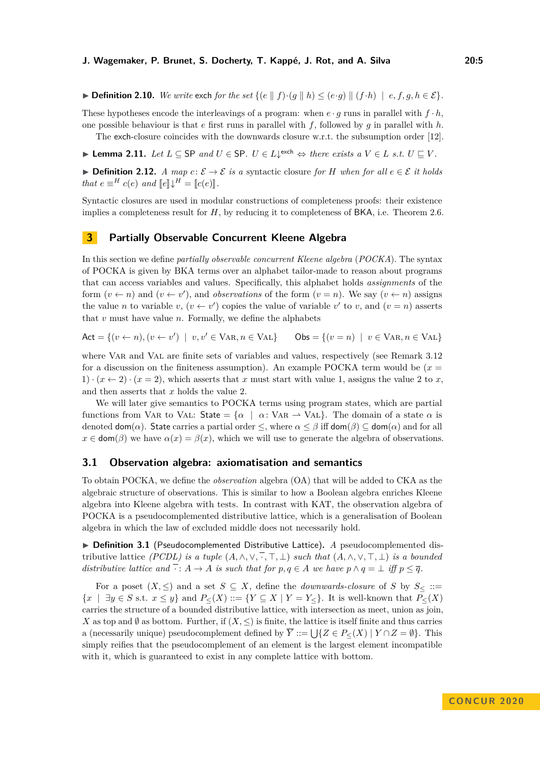▶ **Definition 2.10.** *We write* exch *for the set*  $\{ (e \parallel f) \cdot (g \parallel h) \leq (e \cdot g) \parallel (f \cdot h) \mid e, f, g, h \in \mathcal{E} \}.$ 

These hypotheses encode the interleavings of a program: when  $e \cdot g$  runs in parallel with  $f \cdot h$ , one possible behaviour is that *e* first runs in parallel with *f*, followed by *g* in parallel with *h*.

The exch-closure coincides with the downwards closure w.r.t. the subsumption order [\[12\]](#page-16-8).

<span id="page-4-1"></span>► **Lemma 2.11.** *Let*  $L \subseteq$  SP *and*  $U \in$  SP.  $U \in L\downarrow$ <sup>exch</sup>  $\Leftrightarrow$  *there exists a*  $V \in L$  *s.t.*  $U \sqsubseteq V$ .

**► Definition 2.12.** *A map*  $c: \mathcal{E} \to \mathcal{E}$  *is a* syntactic closure *for H when for all*  $e \in \mathcal{E}$  *it holds that*  $e \equiv^H c(e)$  *and*  $\llbracket e \rrbracket \downarrow^H = \llbracket c(e) \rrbracket$ .

Syntactic closures are used in modular constructions of completeness proofs: their existence implies a completeness result for *H*, by reducing it to completeness of BKA, i.e. Theorem [2.6.](#page-3-0)

# <span id="page-4-0"></span>**3 Partially Observable Concurrent Kleene Algebra**

In this section we define *partially observable concurrent Kleene algebra* (*POCKA*). The syntax of POCKA is given by BKA terms over an alphabet tailor-made to reason about programs that can access variables and values. Specifically, this alphabet holds *assignments* of the form  $(v \leftarrow n)$  and  $(v \leftarrow v')$ , and *observations* of the form  $(v = n)$ . We say  $(v \leftarrow n)$  assigns the value *n* to variable *v*,  $(v \leftarrow v')$  copies the value of variable *v'* to *v*, and  $(v = n)$  asserts that *v* must have value *n*. Formally, we define the alphabets

$$
Act = \{(v \leftarrow n), (v \leftarrow v') \mid v, v' \in \text{VAR}, n \in \text{VAL}\}\
$$

where VAR and VAL are finite sets of variables and values, respectively (see Remark [3.12](#page-7-0)) for a discussion on the finiteness assumption). An example POCKA term would be  $(x =$ 1)  $\cdot (x \leftarrow 2) \cdot (x = 2)$ , which asserts that *x* must start with value 1, assigns the value 2 to *x*, and then asserts that *x* holds the value 2.

We will later give semantics to POCKA terms using program states, which are partial functions from VAR to VAL: State =  $\{\alpha \mid \alpha : \text{VAR } \rightarrow \text{VAL}\}\$ . The domain of a state  $\alpha$  is denoted  $\text{dom}(\alpha)$ . State carries a partial order  $\leq$ , where  $\alpha \leq \beta$  iff  $\text{dom}(\beta) \subseteq \text{dom}(\alpha)$  and for all  $x \in \text{dom}(\beta)$  we have  $\alpha(x) = \beta(x)$ , which we will use to generate the algebra of observations.

### **3.1 Observation algebra: axiomatisation and semantics**

To obtain POCKA, we define the *observation* algebra (OA) that will be added to CKA as the algebraic structure of observations. This is similar to how a Boolean algebra enriches Kleene algebra into Kleene algebra with tests. In contrast with KAT, the observation algebra of POCKA is a pseudocomplemented distributive lattice, which is a generalisation of Boolean algebra in which the law of excluded middle does not necessarily hold.

▶ Definition 3.1 (Pseudocomplemented Distributive Lattice). *A* pseudocomplemented distributive lattice *(PCDL) is a tuple*  $(A, \wedge, \vee, \overline{\cdot}, \top, \bot)$  *such that*  $(A, \wedge, \vee, \top, \bot)$  *is a bounded distributive lattice and*  $\cdot : A \to A$  *is such that for*  $p, q \in A$  *we have*  $p \wedge q = \bot$  *iff*  $p \leq \overline{q}$ *.* 

For a poset  $(X, \leq)$  and a set  $S \subseteq X$ , define the *downwards-closure* of *S* by  $S_{\leq}$  ::= {*x* | ∃*y* ∈ *S* s.t. *x* ≤ *y*} and *P*≤(*X*) ::= {*Y* ⊆ *X* | *Y* = *Y*≤}. It is well-known that *P*≤(*X*) carries the structure of a bounded distributive lattice, with intersection as meet, union as join, *X* as top and  $\emptyset$  as bottom. Further, if  $(X, \leq)$  is finite, the lattice is itself finite and thus carries a (necessarily unique) pseudocomplement defined by  $\overline{Y} ::= \bigcup \{ Z \in P_{\leq}(X) \mid Y \cap Z = \emptyset \}.$  This simply reifies that the pseudocomplement of an element is the largest element incompatible with it, which is guaranteed to exist in any complete lattice with bottom.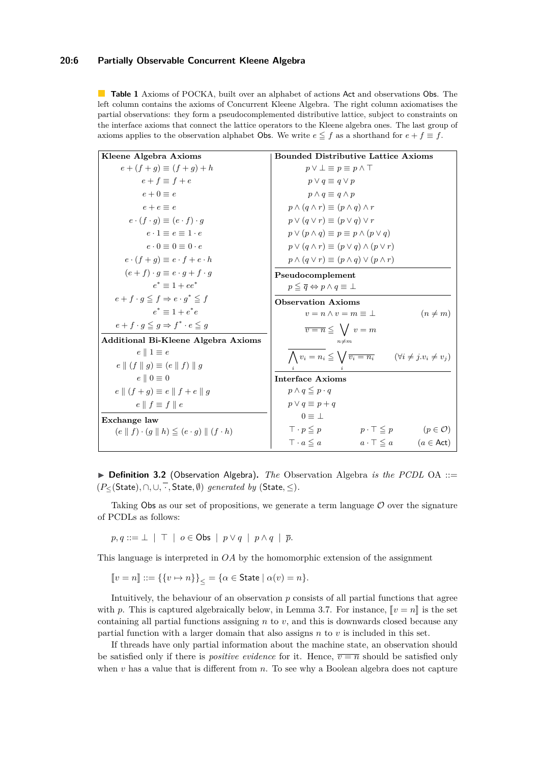### **20:6 Partially Observable Concurrent Kleene Algebra**

<span id="page-5-0"></span>**Table 1** Axioms of POCKA, built over an alphabet of actions Act and observations Obs. The left column contains the axioms of Concurrent Kleene Algebra. The right column axiomatises the partial observations: they form a pseudocomplemented distributive lattice, subject to constraints on the interface axioms that connect the lattice operators to the Kleene algebra ones. The last group of axioms applies to the observation alphabet Obs. We write  $e \leq f$  as a shorthand for  $e + f \equiv f$ .

| Kleene Algebra Axioms                                                          | <b>Bounded Distributive Lattice Axioms</b>                                                    |
|--------------------------------------------------------------------------------|-----------------------------------------------------------------------------------------------|
| $e + (f + q) \equiv (f + q) + h$                                               | $p \vee \bot \equiv p \equiv p \wedge \top$                                                   |
| $e + f \equiv f + e$                                                           | $p \vee q \equiv q \vee p$                                                                    |
| $e+0\equiv e$                                                                  | $p \wedge q \equiv q \wedge p$                                                                |
| $e+e \equiv e$                                                                 | $p \wedge (q \wedge r) \equiv (p \wedge q) \wedge r$                                          |
| $e \cdot (f \cdot g) \equiv (e \cdot f) \cdot g$                               | $p \vee (q \vee r) \equiv (p \vee q) \vee r$                                                  |
| $e \cdot 1 \equiv e \equiv 1 \cdot e$                                          | $p \vee (p \wedge q) \equiv p \equiv p \wedge (p \vee q)$                                     |
| $e \cdot 0 \equiv 0 \equiv 0 \cdot e$                                          | $p \vee (q \wedge r) \equiv (p \vee q) \wedge (p \vee r)$                                     |
| $e \cdot (f + q) \equiv e \cdot f + e \cdot h$                                 | $p \wedge (q \vee r) \equiv (p \wedge q) \vee (p \wedge r)$                                   |
| $(e+f)\cdot q \equiv e\cdot g + f\cdot g$                                      | Pseudocomplement                                                                              |
| $e^* = 1 + ee^*$                                                               | $p \leq \overline{q} \Leftrightarrow p \wedge q \equiv \perp$                                 |
| $e + f \cdot q \leq f \Rightarrow e \cdot q^* \leq f$                          | <b>Observation Axioms</b>                                                                     |
| $e^* = 1 + e^*e$                                                               | $(n \neq m)$<br>$v = n \wedge v = m \equiv \perp$                                             |
| $e + f \cdot g \leq g \Rightarrow f^* \cdot e \leq g$                          | $\overline{v} = \overline{n} \leq \sqrt{v} = m$                                               |
| <b>Additional Bi-Kleene Algebra Axioms</b>                                     | $n \neq m$                                                                                    |
| $e \parallel 1 \equiv e$                                                       | $\bigwedge v_i = n_i \leqq \bigvee \overline{v_i = n_i}$ $(\forall i \neq j \ldots \neq v_j)$ |
| $e \parallel (f \parallel g) \equiv (e \parallel f) \parallel g$               |                                                                                               |
| $e \parallel 0 \equiv 0$                                                       | <b>Interface Axioms</b>                                                                       |
| $e \parallel (f + g) \equiv e \parallel f + e \parallel g$                     | $p \wedge q \leq p \cdot q$                                                                   |
| $e \parallel f \equiv f \parallel e$                                           | $p \vee q \equiv p + q$                                                                       |
| Exchange law                                                                   | $0 \equiv \perp$                                                                              |
| $(e \parallel f) \cdot (q \parallel h) \leq (e \cdot q) \parallel (f \cdot h)$ | $\top \cdot p \leq p$<br>$(p \in \mathcal{O})$<br>$p \cdot \top \leq p$                       |
|                                                                                | $\top \cdot a \leq a$<br>$a \cdot \top \leq a$ $(a \in \text{Act})$                           |

▶ **Definition 3.2** (Observation Algebra). *The* Observation Algebra *is the PCDL* OA ::= (*P*≤(State)*,* ∩*,* ∪*,* · *,* State*,* ∅) *generated by* (State*,* ≤)*.*

Taking Obs as our set of propositions, we generate a term language  $\mathcal O$  over the signature of PCDLs as follows:

 $p, q ::= \perp \mid \top \mid o \in \mathsf{Obs} \mid p \vee q \mid p \wedge q \mid \overline{p}.$ 

This language is interpreted in *OA* by the homomorphic extension of the assignment

$$
[\![v = n]\!] ::= \{\{v \mapsto n\}\}_\le = \{\alpha \in \text{State} \mid \alpha(v) = n\}.
$$

Intuitively, the behaviour of an observation *p* consists of all partial functions that agree with p. This is captured algebraically below, in Lemma [3.7.](#page-6-0) For instance,  $\llbracket v = n \rrbracket$  is the set containing all partial functions assigning  $n$  to  $v$ , and this is downwards closed because any partial function with a larger domain that also assigns *n* to *v* is included in this set.

If threads have only partial information about the machine state, an observation should be satisfied only if there is *positive evidence* for it. Hence,  $\overline{v} = \overline{n}$  should be satisfied only when *v* has a value that is different from *n*. To see why a Boolean algebra does not capture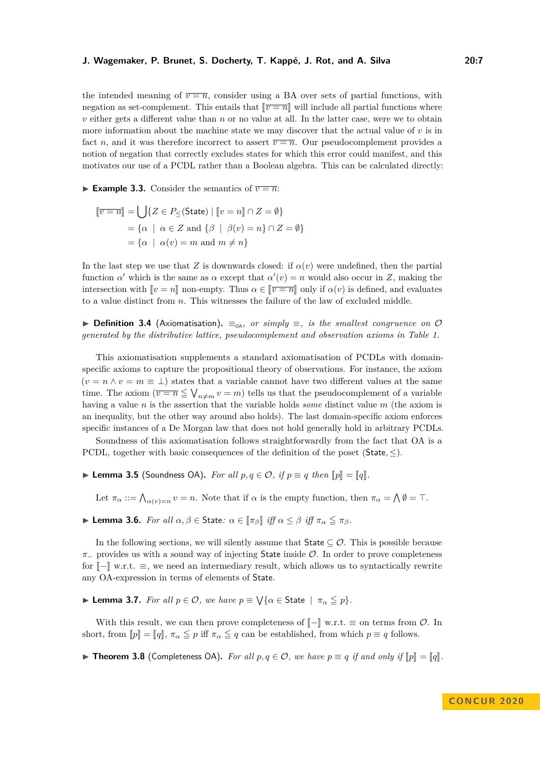the intended meaning of  $\overline{v} = \overline{n}$ , consider using a BA over sets of partial functions, with negation as set-complement. This entails that  $\lbrack \lbrack \overline{v=n} \rbrack$  will include all partial functions where *v* either gets a different value than *n* or no value at all. In the latter case, were we to obtain more information about the machine state we may discover that the actual value of *v* is in fact *n*, and it was therefore incorrect to assert  $\overline{v} = \overline{n}$ . Our pseudocomplement provides a notion of negation that correctly excludes states for which this error could manifest, and this motivates our use of a PCDL rather than a Boolean algebra. This can be calculated directly:

**Example 3.3.** Consider the semantics of  $\overline{v} = \overline{n}$ :

$$
\[\overline{v=n}\] = \bigcup \{Z \in P_{\leq}(\text{State}) \mid \llbracket v = n \rrbracket \cap Z = \emptyset\}
$$

$$
= \{\alpha \mid \alpha \in Z \text{ and } \{\beta \mid \beta(v) = n\} \cap Z = \emptyset\}
$$

$$
= \{\alpha \mid \alpha(v) = m \text{ and } m \neq n\}
$$

In the last step we use that *Z* is downwards closed: if  $\alpha(v)$  were undefined, then the partial function *α*' which is the same as *α* except that  $\alpha'(v) = n$  would also occur in *Z*, making the intersection with  $\llbracket v = n \rrbracket$  non-empty. Thus  $\alpha \in \llbracket \overline{v = n} \rrbracket$  only if  $\alpha(v)$  is defined, and evaluates to a value distinct from *n*. This witnesses the failure of the law of excluded middle.

**► Definition 3.4** (Axiomatisation).  $\equiv_{\text{oA}}$ , or simply  $\equiv$ , is the smallest congruence on  $\varnothing$ *generated by the distributive lattice, pseudocomplement and observation axioms in Table [1.](#page-5-0)*

This axiomatisation supplements a standard axiomatisation of PCDLs with domainspecific axioms to capture the propositional theory of observations. For instance, the axiom  $(v = n \wedge v = m \equiv \bot)$  states that a variable cannot have two different values at the same time. The axiom  $(\overline{v} = \overline{n} \leq \bigvee_{n \neq m} v = m)$  tells us that the pseudocomplement of a variable having a value *n* is the assertion that the variable holds *some* distinct value *m* (the axiom is an inequality, but the other way around also holds). The last domain-specific axiom enforces specific instances of a De Morgan law that does not hold generally hold in arbitrary PCDLs.

Soundness of this axiomatisation follows straightforwardly from the fact that OA is a PCDL, together with basic consequences of the definition of the poset  $(S\text{tate}, \leq)$ .

<span id="page-6-1"></span>▶ **Lemma 3.5** (Soundness OA). *For all*  $p, q \in \mathcal{O}$ , *if*  $p \equiv q$  *then*  $[[p] = [q]$ *.* 

Let  $\pi_{\alpha} := \bigwedge_{\alpha(v)=n} v = n$ . Note that if  $\alpha$  is the empty function, then  $\pi_{\alpha} = \bigwedge \emptyset = \top$ .

<span id="page-6-2"></span>**► Lemma 3.6.** *For all*  $\alpha, \beta \in$  State:  $\alpha \in [\pi_{\beta}]$  *iff*  $\alpha \leq \beta$  *iff*  $\pi_{\alpha} \leq \pi_{\beta}$ *.* 

In the following sections, we will silently assume that  $State \subseteq \mathcal{O}$ . This is possible because *π*<sub>−</sub> provides us with a sound way of injecting State inside  $O$ . In order to prove completeness for  $\llbracket - \rrbracket$  w.r.t.  $\equiv$ , we need an intermediary result, which allows us to syntactically rewrite any OA-expression in terms of elements of State.

<span id="page-6-0"></span>**I Lemma 3.7.** *For all*  $p \in \mathcal{O}$ , *we have*  $p \equiv \sqrt{\{\alpha \in \text{State}\,} \mid \pi_{\alpha} \leq p\}.$ 

With this result, we can then prove completeness of  $\llbracket - \rrbracket$  w.r.t.  $\equiv$  on terms from  $\mathcal{O}$ . In short, from  $[p] = [q]$ ,  $\pi_{\alpha} \leq p$  iff  $\pi_{\alpha} \leq q$  can be established, from which  $p \equiv q$  follows.

<span id="page-6-3"></span>▶ **Theorem 3.8** (Completeness OA). *For all*  $p, q \in \mathcal{O}$ , we have  $p \equiv q$  *if and only if*  $\llbracket p \rrbracket = \llbracket q \rrbracket$ .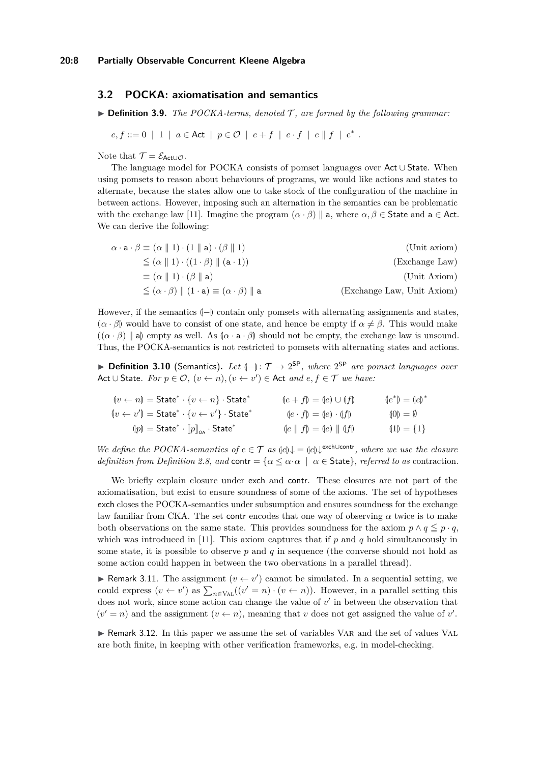# <span id="page-7-1"></span>**3.2 POCKA: axiomatisation and semantics**

 $\triangleright$  **Definition 3.9.** *The POCKA-terms, denoted*  $\mathcal{T}$ *, are formed by the following grammar:* 

$$
e, f ::= 0 \mid 1 \mid a \in \text{Act} \mid p \in \mathcal{O} \mid e + f \mid e \cdot f \mid e \parallel f \mid e^*.
$$

Note that  $\mathcal{T} = \mathcal{E}_{\mathsf{Act}\cup\mathcal{O}}$ .

The language model for POCKA consists of pomset languages over Act ∪ State. When using pomsets to reason about behaviours of programs, we would like actions and states to alternate, because the states allow one to take stock of the configuration of the machine in between actions. However, imposing such an alternation in the semantics can be problematic with the exchange law [\[11\]](#page-16-7). Imagine the program  $(\alpha \cdot \beta)$  || a, where  $\alpha, \beta \in$  State and  $a \in$  Act. We can derive the following:

$$
\alpha \cdot \mathbf{a} \cdot \beta \equiv (\alpha \parallel 1) \cdot (1 \parallel \mathbf{a}) \cdot (\beta \parallel 1)
$$
 (Unit axiom)  
\n
$$
\leq (\alpha \parallel 1) \cdot ((1 \cdot \beta) \parallel (\mathbf{a} \cdot 1))
$$
 (Exchange Law)  
\n
$$
\leq (\alpha \parallel 1) \cdot (\beta \parallel \mathbf{a})
$$
 (Unit Axiom)  
\n
$$
\leq (\alpha \cdot \beta) \parallel (1 \cdot \mathbf{a}) \equiv (\alpha \cdot \beta) \parallel \mathbf{a}
$$
 (Exchange Law, Unit Axiom)

However, if the semantics  $\langle$ <sub>*P*</sub> $\rangle$  contain only pomsets with alternating assignments and states,  $(\alpha \cdot \beta)$  would have to consist of one state, and hence be empty if  $\alpha \neq \beta$ . This would make  $\left[\left(\alpha \cdot \beta\right)\right]$  as methy as well. As  $\left[\alpha \cdot \mathbf{a} \cdot \beta\right]$  should not be empty, the exchange law is unsound. Thus, the POCKA-semantics is not restricted to pomsets with alternating states and actions.

**► Definition 3.10** (Semantics). Let  $(-)$ :  $\mathcal{T} \rightarrow 2^{SP}$ , where  $2^{SP}$  are pomset languages over Act ∪ State. For  $p \in \mathcal{O}$ ,  $(v \leftarrow n)$ ,  $(v \leftarrow v') \in$  Act *and*  $e, f \in \mathcal{T}$  *we have:* 

| $\langle v \leftarrow n \rangle$ = State <sup>*</sup> · $\{v \leftarrow n\}$ · State <sup>*</sup>         | $\langle e + f \rangle = \langle e \rangle \cup \langle f \rangle$ | $(e^*) = (e)^*$                 |
|-----------------------------------------------------------------------------------------------------------|--------------------------------------------------------------------|---------------------------------|
| $\langle v \leftarrow v' \rangle$ = State <sup>*</sup> · $\{v \leftarrow v' \}$ · State <sup>*</sup>      | $(e \cdot f) = (e) \cdot (f)$                                      | $\langle 0 \rangle = \emptyset$ |
| $\langle p p\rangle = \mathsf{State}^*\cdot \llbracket p \rrbracket_{\mathsf{OA}} \cdot \mathsf{State}^*$ | $\{e \mid f\} = \{e\} \mid \{f\}$                                  | $(1) = \{1\}$                   |

*We define the POCKA-semantics of*  $e \in \mathcal{T}$  *as*  $\left\{e\right\}\downarrow = \left\{e\right\}\downarrow^{\text{exch}\cup\text{contr}},$  where we use the closure *definition from Definition* [2.8,](#page-3-1) and contr =  $\{\alpha \leq \alpha \cdot \alpha \mid \alpha \in \text{State}\}\$ , referred to as contraction.

We briefly explain closure under exch and contr. These closures are not part of the axiomatisation, but exist to ensure soundness of some of the axioms. The set of hypotheses exch closes the POCKA-semantics under subsumption and ensures soundness for the exchange law familiar from CKA. The set contr encodes that one way of observing  $\alpha$  twice is to make both observations on the same state. This provides soundness for the axiom  $p \wedge q \leq p \cdot q$ , which was introduced in [\[11\]](#page-16-7). This axiom captures that if *p* and *q* hold simultaneously in some state, it is possible to observe *p* and *q* in sequence (the converse should not hold as some action could happen in between the two obervations in a parallel thread).

**► Remark 3.11.** The assignment  $(v \leftarrow v')$  cannot be simulated. In a sequential setting, we could express  $(v \leftarrow v')$  as  $\sum_{n \in \text{VAL}} ((v' = n) \cdot (v \leftarrow n))$ . However, in a parallel setting this does not work, since some action can change the value of  $v'$  in between the observation that  $(v' = n)$  and the assignment  $(v \leftarrow n)$ , meaning that *v* does not get assigned the value of *v*'.

<span id="page-7-0"></span> $\triangleright$  Remark 3.12. In this paper we assume the set of variables VAR and the set of values VAL are both finite, in keeping with other verification frameworks, e.g. in model-checking.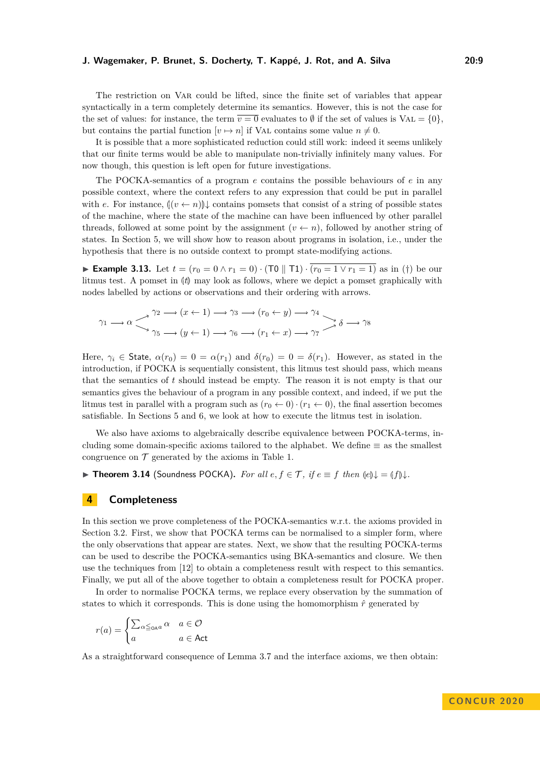The restriction on Var could be lifted, since the finite set of variables that appear syntactically in a term completely determine its semantics. However, this is not the case for the set of values: for instance, the term  $\overline{v=0}$  evaluates to  $\emptyset$  if the set of values is VAL =  $\{0\}$ . but contains the partial function  $[v \mapsto n]$  if VAL contains some value  $n \neq 0$ .

It is possible that a more sophisticated reduction could still work: indeed it seems unlikely that our finite terms would be able to manipulate non-trivially infinitely many values. For now though, this question is left open for future investigations.

The POCKA-semantics of a program *e* contains the possible behaviours of *e* in any possible context, where the context refers to any expression that could be put in parallel with *e*. For instance,  $\left(\left(v \leftarrow n\right)\right)$  contains pomsets that consist of a string of possible states of the machine, where the state of the machine can have been influenced by other parallel threads, followed at some point by the assignment  $(v \leftarrow n)$ , followed by another string of states. In Section [5,](#page-10-0) we will show how to reason about programs in isolation, i.e., under the hypothesis that there is no outside context to prompt state-modifying actions.

<span id="page-8-3"></span>► Example 3.13. Let  $t = (r_0 = 0 \land r_1 = 0) \cdot (\text{TO} \parallel \text{T1}) \cdot (r_0 = 1 \lor r_1 = 1)$  as in [\(†\)](#page-1-0) be our litmus test. A pomset in  $|t|$  may look as follows, where we depict a pomset graphically with nodes labelled by actions or observations and their ordering with arrows.

$$
\gamma_1 \longrightarrow \alpha \longrightarrow^{\gamma_2} \longrightarrow (x \leftarrow 1) \longrightarrow \gamma_3 \longrightarrow (r_0 \leftarrow y) \longrightarrow \gamma_4 \longrightarrow \gamma_5 \longrightarrow \gamma_5 \longrightarrow (y \leftarrow 1) \longrightarrow \gamma_6 \longrightarrow (r_1 \leftarrow x) \longrightarrow \gamma_7 \longrightarrow \delta \longrightarrow \gamma_8
$$

Here,  $\gamma_i \in$  State,  $\alpha(r_0) = 0 = \alpha(r_1)$  and  $\delta(r_0) = 0 = \delta(r_1)$ . However, as stated in the introduction, if POCKA is sequentially consistent, this litmus test should pass, which means that the semantics of *t* should instead be empty. The reason it is not empty is that our semantics gives the behaviour of a program in any possible context, and indeed, if we put the litmus test in parallel with a program such as  $(r_0 \leftarrow 0) \cdot (r_1 \leftarrow 0)$ , the final assertion becomes satisfiable. In Sections [5](#page-10-0) and [6,](#page-13-0) we look at how to execute the litmus test in isolation.

We also have axioms to algebraically describe equivalence between POCKA-terms, including some domain-specific axioms tailored to the alphabet. We define  $\equiv$  as the smallest congruence on  $\mathcal T$  generated by the axioms in Table [1.](#page-5-0)

<span id="page-8-1"></span>**► Theorem 3.14** (Soundness POCKA). *For all*  $e, f \in \mathcal{T}$ , *if*  $e \equiv f$  *then*  $\langle e \rangle \downarrow = \langle f \rangle \downarrow$ *.* 

# <span id="page-8-0"></span>**4 Completeness**

In this section we prove completeness of the POCKA-semantics w.r.t. the axioms provided in Section [3.2.](#page-7-1) First, we show that POCKA terms can be normalised to a simpler form, where the only observations that appear are states. Next, we show that the resulting POCKA-terms can be used to describe the POCKA-semantics using BKA-semantics and closure. We then use the techniques from [\[12\]](#page-16-8) to obtain a completeness result with respect to this semantics. Finally, we put all of the above together to obtain a completeness result for POCKA proper.

In order to normalise POCKA terms, we replace every observation by the summation of states to which it corresponds. This is done using the homomorphism  $\hat{r}$  generated by

$$
r(a) = \begin{cases} \sum_{\alpha \leq \text{A}a} \alpha & a \in \mathcal{O} \\ a & a \in \text{Act} \end{cases}
$$

<span id="page-8-2"></span>As a straightforward consequence of Lemma [3.7](#page-6-0) and the interface axioms, we then obtain: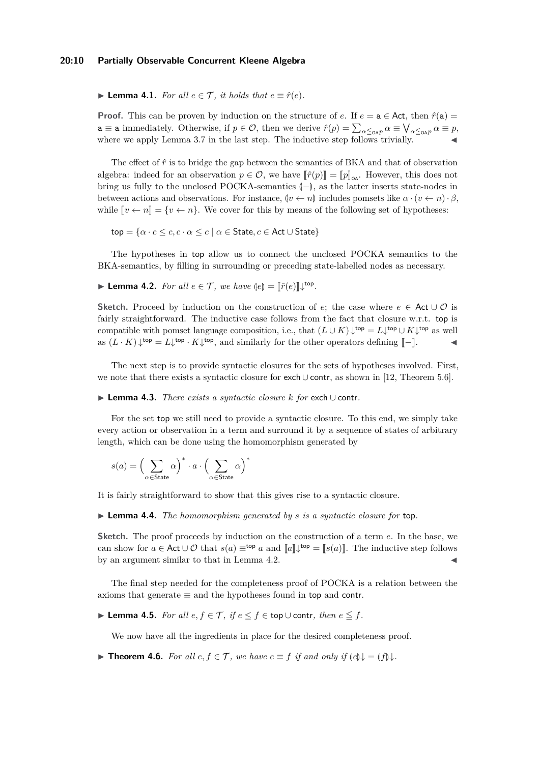#### **20:10 Partially Observable Concurrent Kleene Algebra**

▶ **Lemma 4.1.** *For all*  $e \in \mathcal{T}$ *, it holds that*  $e \equiv \hat{r}(e)$ *.* 

**Proof.** This can be proven by induction on the structure of *e*. If  $e = a \in Act$ , then  $\hat{r}(a) =$  $a \equiv a$  immediately. Otherwise, if  $p \in \mathcal{O}$ , then we derive  $\hat{r}(p) = \sum_{\alpha \leq_{\mathsf{OAP}}} \alpha \equiv \bigvee_{\alpha \leq_{\mathsf{OAP}}} \alpha \equiv p$ , where we apply Lemma [3.7](#page-6-0) in the last step. The inductive step follows trivially.

The effect of  $\hat{r}$  is to bridge the gap between the semantics of BKA and that of observation algebra: indeed for an observation  $p \in \mathcal{O}$ , we have  $\|\hat{r}(p)\| = \|p\|_{\alpha}$ . However, this does not bring us fully to the unclosed POCKA-semantics  $\langle$ - $\rangle$ , as the latter inserts state-nodes in between actions and observations. For instance,  $\left(\nu \leftarrow n\right)$  includes pomsets like  $\alpha \cdot \left(\nu \leftarrow n\right) \cdot \beta$ , while  $\llbracket v \leftarrow n \rrbracket = \{v \leftarrow n\}$ . We cover for this by means of the following set of hypotheses:

 $top = {\alpha \cdot c \leq c, c \cdot \alpha \leq c \mid \alpha \in \text{State}, c \in \text{Act} \cup \text{State}}$ 

The hypotheses in top allow us to connect the unclosed POCKA semantics to the BKA-semantics, by filling in surrounding or preceding state-labelled nodes as necessary.

<span id="page-9-0"></span>**Lemma 4.2.** For all 
$$
e \in \mathcal{T}
$$
, we have  $\langle e \rangle = [\hat{r}(e)] \downarrow^{\text{top}}$ .

**Sketch.** Proceed by induction on the construction of *e*; the case where  $e \in \text{Act} \cup \mathcal{O}$  is fairly straightforward. The inductive case follows from the fact that closure w.r.t. top is compatible with pomset language composition, i.e., that  $(L \cup K) \downarrow^{\text{top}} = L \downarrow^{\text{top}} \cup K \downarrow^{\text{top}}$  as well as  $(L \cdot K) \downarrow^{\text{top}} = L \downarrow^{\text{top}} \cdot K \downarrow^{\text{top}}$ , and similarly for the other operators defining  $[-]$ .

The next step is to provide syntactic closures for the sets of hypotheses involved. First, we note that there exists a syntactic closure for exch ∪ contr, as shown in [\[12,](#page-16-8) Theorem 5.6].

#### <span id="page-9-2"></span>I **Lemma 4.3.** *There exists a syntactic closure k for* exch ∪ contr*.*

For the set top we still need to provide a syntactic closure. To this end, we simply take every action or observation in a term and surround it by a sequence of states of arbitrary length, which can be done using the homomorphism generated by

$$
s(a) = \left(\sum_{\alpha \in \text{State}} \alpha\right)^* \cdot a \cdot \left(\sum_{\alpha \in \text{State}} \alpha\right)^*
$$

<span id="page-9-1"></span>It is fairly straightforward to show that this gives rise to a syntactic closure.

I **Lemma 4.4.** *The homomorphism generated by s is a syntactic closure for* top*.*

**Sketch.** The proof proceeds by induction on the construction of a term *e*. In the base, we can show for  $a \in \text{Act} \cup \mathcal{O}$  that  $s(a) \equiv^{\text{top}} a$  and  $[\![a]\!] \downarrow^{\text{top}} = [\![s(a)]\!]$ . The inductive step follows by an argument similar to that in Lemma [4.2.](#page-9-0)

The final step needed for the completeness proof of POCKA is a relation between the axioms that generate  $\equiv$  and the hypotheses found in top and contr.

**► Lemma 4.5.** *For all*  $e, f \in T$ *, if*  $e \le f \in$  top∪ contr*, then*  $e \le f$ *.* 

We now have all the ingredients in place for the desired completeness proof.

**Find 1.6.** *For all*  $e, f \in \mathcal{T}$ *, we have*  $e \equiv f$  *if and only if*  $\{e\}\downarrow = \{f\}\downarrow$ .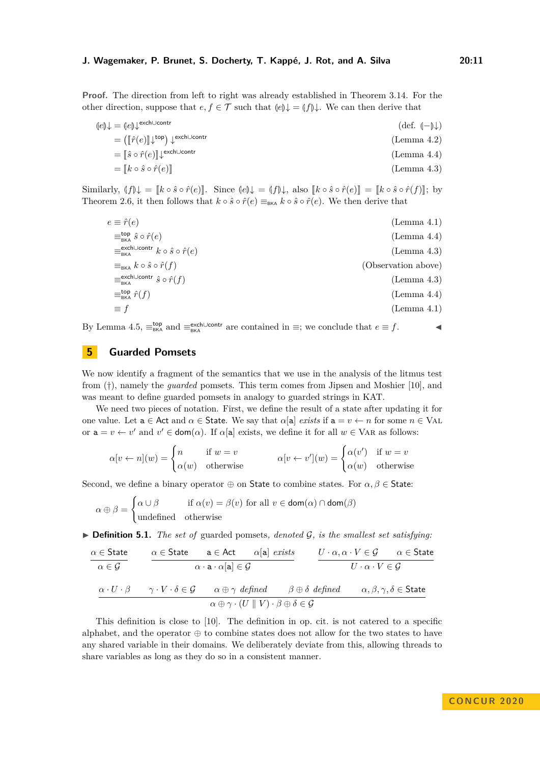**Proof.** The direction from left to right was already established in Theorem [3.14.](#page-8-1) For the other direction, suppose that  $e, f \in \mathcal{T}$  such that  $\langle e \rangle \downarrow = \langle f \rangle \downarrow$ . We can then derive that

$$
\begin{aligned}\n\text{(e)}\downarrow &= \text{(e)}\downarrow^{\text{exch}\cup\text{contr}} \\
&= \left(\llbracket \hat{r}(e) \rrbracket \downarrow^{\text{top}}\right) \downarrow^{\text{exch}\cup\text{contr}} \\
&= \llbracket \hat{s} \circ \hat{r}(e) \rrbracket \downarrow^{\text{exch}\cup\text{contr}} \\
&= \llbracket \hat{s} \circ \hat{r}(e) \rrbracket\n\end{aligned}\n\tag{Lemma 4.2}
$$

$$
= [k \circ \hat{s} \circ \hat{r}(e)] \tag{Lemma 4.3}
$$

Similarly,  $\langle f | \psi \rangle = [k \circ \hat{s} \circ \hat{r}(e)]$ . Since  $\langle e | \psi \rangle = \langle f | \psi \rangle$ , also  $\langle k \circ \hat{s} \circ \hat{r}(e) \rangle = [k \circ \hat{s} \circ \hat{r}(f)]$ ; by Theorem [2.6,](#page-3-0) it then follows that  $k \circ \hat{s} \circ \hat{r}(e) \equiv_{BKA} k \circ \hat{s} \circ \hat{r}(e)$ . We then derive that

| $e \equiv \hat{r}(e)$                                                      | (Lemma 4.1)         |
|----------------------------------------------------------------------------|---------------------|
| $\equiv_{\text{BKA}}^{\text{top}} \hat{s} \circ \hat{r}(e)$                | (Lemma 4.4)         |
| $\equiv_{\text{BKA}}^{\text{exchUcontr}} k \circ \hat{s} \circ \hat{r}(e)$ | (Lemma 4.3)         |
| $\equiv_{BKA} k \circ \hat{s} \circ \hat{r}(f)$                            | (Observation above) |
| $\equiv_{\rm BKA}^{\rm exchUcontr} \hat{s} \circ \hat{r}(f)$               | (Lemma 4.3)         |
| $\equiv_{BKA}^{top} \hat{r}(f)$                                            | (Lemma 4.4)         |
| $\equiv f$                                                                 | (Lemma 4.1)         |
|                                                                            |                     |

By Lemma [4.5,](#page-6-1)  $\equiv_{BKA}^{top}$  and  $\equiv_{BKA}^{exch\cup contr}$  are contained in  $\equiv$ ; we conclude that  $e \equiv f$ .

# <span id="page-10-0"></span>**5 Guarded Pomsets**

We now identify a fragment of the semantics that we use in the analysis of the litmus test from [\(†\)](#page-1-0), namely the *guarded* pomsets. This term comes from Jipsen and Moshier [\[10\]](#page-16-6), and was meant to define guarded pomsets in analogy to guarded strings in KAT.

We need two pieces of notation. First, we define the result of a state after updating it for one value. Let  $a \in Act$  and  $\alpha \in State$ . We say that  $\alpha[a]$  *exists* if  $a = v \leftarrow n$  for some  $n \in VA$ . or  $a = v \leftarrow v'$  and  $v' \in \text{dom}(\alpha)$ . If  $\alpha[a]$  exists, we define it for all  $w \in \text{VAR}$  as follows:

$$
\alpha[v \leftarrow n](w) = \begin{cases} n & \text{if } w = v \\ \alpha(w) & \text{otherwise} \end{cases} \qquad \alpha[v \leftarrow v'](w) = \begin{cases} \alpha(v') & \text{if } w = v \\ \alpha(w) & \text{otherwise} \end{cases}
$$

Second, we define a binary operator  $\oplus$  on State to combine states. For  $\alpha, \beta \in$  State:

$$
\alpha \oplus \beta = \begin{cases} \alpha \cup \beta & \text{if } \alpha(v) = \beta(v) \text{ for all } v \in \text{dom}(\alpha) \cap \text{dom}(\beta) \\ \text{undefined} & \text{otherwise} \end{cases}
$$

 $\triangleright$  **Definition 5.1.** *The set of* guarded pomsets, denoted  $\mathcal{G}$ , is the smallest set satisfying:

$$
\begin{array}{c}\n\alpha \in \text{State} \\
\hline\n\alpha \in \mathcal{G}\n\end{array}\n\qquad\n\begin{array}{c}\n\alpha \in \text{State} \\
\hline\n\alpha \cdot \mathbf{a} \cdot \alpha[\mathbf{a}] \in \mathcal{G}\n\end{array}\n\qquad\n\begin{array}{c}\nU \cdot \alpha, \alpha \cdot V \in \mathcal{G} \\
U \cdot \alpha \cdot V \in \mathcal{G}\n\end{array}\n\qquad\n\begin{array}{c}\n\alpha \in \text{State} \\
\hline\n\alpha \cdot U \cdot \beta\n\end{array}
$$

This definition is close to [\[10\]](#page-16-6). The definition in op. cit. is not catered to a specific alphabet, and the operator  $\oplus$  to combine states does not allow for the two states to have any shared variable in their domains. We deliberately deviate from this, allowing threads to share variables as long as they do so in a consistent manner.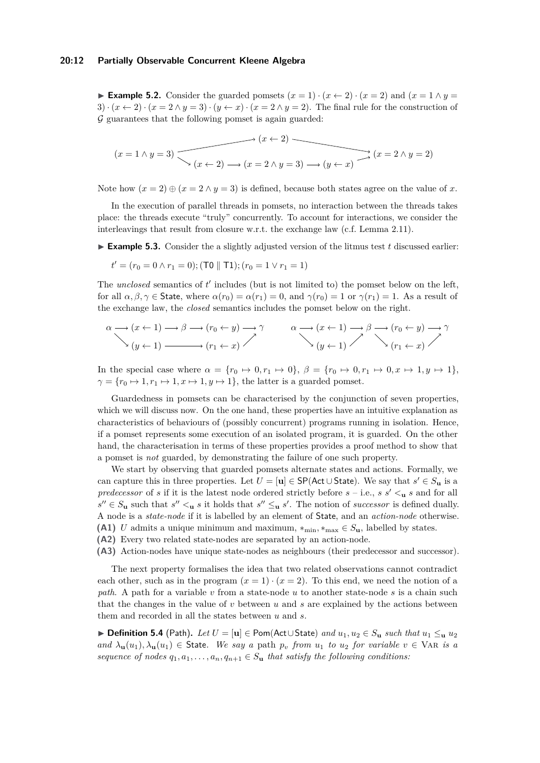#### **20:12 Partially Observable Concurrent Kleene Algebra**

**Example 5.2.** Consider the guarded pomsets  $(x = 1) \cdot (x \leftarrow 2) \cdot (x = 2)$  and  $(x = 1 \land y = 1)$ 3)  $\cdot (x \leftarrow 2) \cdot (x = 2 \land y = 3) \cdot (y \leftarrow x) \cdot (x = 2 \land y = 2)$ . The final rule for the construction of  $\mathcal G$  guarantees that the following pomset is again guarded:

$$
(x = 1 \land y = 3)
$$
\n
$$
(x \leftarrow 2) \rightarrow (x = 2 \land y = 3) \rightarrow (y \leftarrow x)
$$
\n
$$
(x = 2 \land y = 2)
$$

Note how  $(x = 2) \oplus (x = 2 \land y = 3)$  is defined, because both states agree on the value of x.

In the execution of parallel threads in pomsets, no interaction between the threads takes place: the threads execute "truly" concurrently. To account for interactions, we consider the interleavings that result from closure w.r.t. the exchange law (c.f. Lemma [2.11\)](#page-4-1).

 $\blacktriangleright$  **Example 5.3.** Consider the a slightly adjusted version of the litmus test *t* discussed earlier:

$$
t' = (r_0 = 0 \land r_1 = 0); (\text{TO} \parallel \text{T1}); (r_0 = 1 \lor r_1 = 1)
$$

The *unclosed* semantics of  $t'$  includes (but is not limited to) the pomset below on the left, for all  $\alpha, \beta, \gamma \in$  State, where  $\alpha(r_0) = \alpha(r_1) = 0$ , and  $\gamma(r_0) = 1$  or  $\gamma(r_1) = 1$ . As a result of the exchange law, the *closed* semantics includes the pomset below on the right.

$$
\alpha \longrightarrow (x \leftarrow 1) \longrightarrow \beta \longrightarrow (r_0 \leftarrow y) \longrightarrow \gamma \qquad \alpha \longrightarrow (x \leftarrow 1) \longrightarrow \beta \longrightarrow (r_0 \leftarrow y) \longrightarrow \gamma
$$
  
\n
$$
(y \leftarrow 1) \longrightarrow (r_1 \leftarrow x) \nearrow
$$
  
\n
$$
(y \leftarrow 1) \nearrow
$$
  
\n
$$
(y \leftarrow 1) \nearrow
$$
  
\n
$$
(r_1 \leftarrow x) \nearrow
$$

In the special case where  $\alpha = \{r_0 \mapsto 0, r_1 \mapsto 0\}, \ \beta = \{r_0 \mapsto 0, r_1 \mapsto 0, x \mapsto 1, y \mapsto 1\},\$  $\gamma = \{r_0 \mapsto 1, r_1 \mapsto 1, x \mapsto 1, y \mapsto 1\}$ , the latter is a guarded pomset.

Guardedness in pomsets can be characterised by the conjunction of seven properties, which we will discuss now. On the one hand, these properties have an intuitive explanation as characteristics of behaviours of (possibly concurrent) programs running in isolation. Hence, if a pomset represents some execution of an isolated program, it is guarded. On the other hand, the characterisation in terms of these properties provides a proof method to show that a pomset is *not* guarded, by demonstrating the failure of one such property.

We start by observing that guarded pomsets alternate states and actions. Formally, we can capture this in three properties. Let  $U = [\mathbf{u}] \in \mathsf{SP}(\mathsf{Act} \cup \mathsf{State})$ . We say that  $s' \in S_{\mathbf{u}}$  is a *predecessor* of *s* if it is the latest node ordered strictly before  $s$  – i.e.,  $s s' <$ **u**  $s$  and for all  $s'' \in S_{\mathbf{u}}$  such that  $s'' \leq_{\mathbf{u}} s$  it holds that  $s'' \leq_{\mathbf{u}} s'$ . The notion of *successor* is defined dually. A node is a *state-node* if it is labelled by an element of State, and an *action-node* otherwise. **(A1)** *U* admits a unique minimum and maximum,  $*_{\text{min}}, *_{\text{max}} \in S_u$ , labelled by states.

- **(A2)** Every two related state-nodes are separated by an action-node.
- **(A3)** Action-nodes have unique state-nodes as neighbours (their predecessor and successor).

The next property formalises the idea that two related observations cannot contradict each other, such as in the program  $(x = 1) \cdot (x = 2)$ . To this end, we need the notion of a *path*. A path for a variable *v* from a state-node *u* to another state-node *s* is a chain such that the changes in the value of *v* between *u* and *s* are explained by the actions between them and recorded in all the states between *u* and *s*.

▶ **Definition 5.4** (Path). Let  $U = [\mathbf{u}] \in \text{Pom}(\text{Act}\cup\text{State})$  and  $u_1, u_2 \in S_\mathbf{u}$  such that  $u_1 \leq \mathbf{u} \ u_2$  $and \lambda_{\mathbf{u}}(u_1), \lambda_{\mathbf{u}}(u_1) \in \text{State}$ *. We say a* path  $p_v$  *from*  $u_1$  *to*  $u_2$  *for variable*  $v \in \text{VAR }$  *is a sequence of nodes*  $q_1, a_1, \ldots, a_n, q_{n+1} \in S_u$  *that satisfy the following conditions:*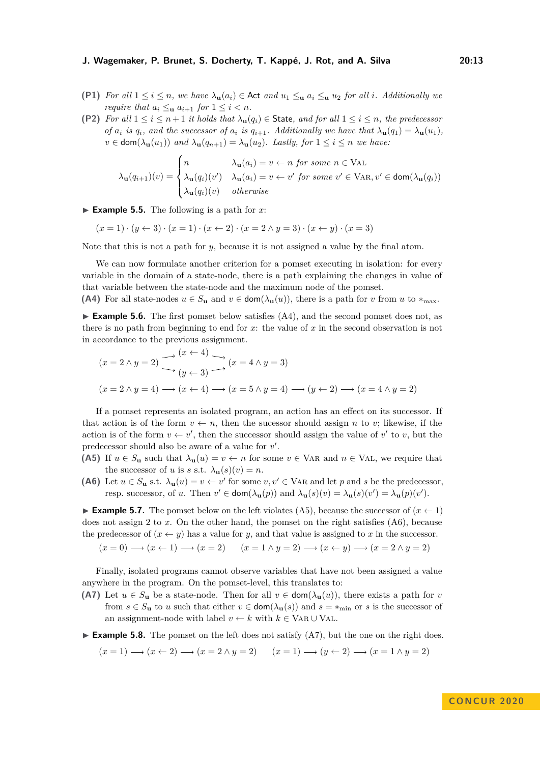- **(P1)** For all  $1 \leq i \leq n$ , we have  $\lambda_{\mathbf{u}}(a_i) \in \mathsf{Act}$  and  $u_1 \leq_{\mathbf{u}} a_i \leq_{\mathbf{u}} u_2$  for all *i*. Additionally we *require that*  $a_i \leq_{\mathbf{u}} a_{i+1}$  *for*  $1 \leq i \leq n$ *.*
- **(P2)** For all  $1 \leq i \leq n+1$  *it holds that*  $\lambda_{\mathbf{u}}(q_i) \in$  State, and for all  $1 \leq i \leq n$ , the predecessor of  $a_i$  is  $q_i$ , and the successor of  $a_i$  is  $q_{i+1}$ . Additionally we have that  $\lambda_{\mathbf{u}}(q_1) = \lambda_{\mathbf{u}}(u_1)$ ,  $v \in \text{dom}(\lambda_{\mathbf{u}}(u_1))$  *and*  $\lambda_{\mathbf{u}}(q_{n+1}) = \lambda_{\mathbf{u}}(u_2)$ *. Lastly, for*  $1 \leq i \leq n$  *we have:*

$$
\lambda_{\mathbf{u}}(q_{i+1})(v) = \begin{cases}\nn & \lambda_{\mathbf{u}}(a_i) = v \leftarrow n \text{ for some } n \in \text{VAL} \\
\lambda_{\mathbf{u}}(q_i)(v') & \lambda_{\mathbf{u}}(a_i) = v \leftarrow v' \text{ for some } v' \in \text{VAR}, v' \in \text{dom}(\lambda_{\mathbf{u}}(q_i)) \\
\lambda_{\mathbf{u}}(q_i)(v) & otherwise\n\end{cases}
$$

 $\blacktriangleright$  **Example 5.5.** The following is a path for *x*:

 $(x = 1) \cdot (y \leftarrow 3) \cdot (x = 1) \cdot (x \leftarrow 2) \cdot (x = 2 \land y = 3) \cdot (x \leftarrow y) \cdot (x = 3)$ 

Note that this is not a path for *y*, because it is not assigned a value by the final atom.

We can now formulate another criterion for a pomset executing in isolation: for every variable in the domain of a state-node, there is a path explaining the changes in value of that variable between the state-node and the maximum node of the pomset.

**(A4)** For all state-nodes  $u \in S_u$  and  $v \in \text{dom}(\lambda_u(u))$ , there is a path for *v* from *u* to  $*_{\text{max}}$ .

 $\triangleright$  **Example 5.6.** The first pomset below satisfies (A4), and the second pomset does not, as there is no path from beginning to end for *x*: the value of *x* in the second observation is not in accordance to the previous assignment.

$$
(x = 2 \land y = 2) \longrightarrow (x \leftarrow 4) \longrightarrow (x = 4 \land y = 3)
$$
  

$$
(x = 2 \land y = 4) \longrightarrow (x \leftarrow 4) \longrightarrow (x = 5 \land y = 4) \longrightarrow (y \leftarrow 2) \longrightarrow (x = 4 \land y = 2)
$$

If a pomset represents an isolated program, an action has an effect on its successor. If that action is of the form  $v \leftarrow n$ , then the sucessor should assign *n* to *v*; likewise, if the action is of the form  $v \leftarrow v'$ , then the successor should assign the value of  $v'$  to *v*, but the predecessor should also be aware of a value for  $v'$ .

- **(A5)** If  $u \in S_u$  such that  $\lambda_u(u) = v \leftarrow n$  for some  $v \in \text{VAR}$  and  $n \in \text{VAL}$ , we require that the successor of *u* is *s* s.t.  $\lambda$ **u** $(s)(v) = n$ .
- **(A6)** Let  $u \in S_u$  s.t.  $\lambda_u(u) = v \leftarrow v'$  for some  $v, v' \in \text{VAR}$  and let p and s be the predecessor, resp. successor, of *u*. Then  $v' \in \text{dom}(\lambda_{\mathbf{u}}(p))$  and  $\lambda_{\mathbf{u}}(s)(v) = \lambda_{\mathbf{u}}(s)(v') = \lambda_{\mathbf{u}}(p)(v')$ .

**Example 5.7.** The pomset below on the left violates (A5), because the successor of  $(x \leftarrow 1)$ does not assign 2 to *x*. On the other hand, the pomset on the right satisfies (A6), because the predecessor of  $(x \leftarrow y)$  has a value for *y*, and that value is assigned to *x* in the successor.

$$
(x = 0) \longrightarrow (x \leftarrow 1) \longrightarrow (x = 2) \qquad (x = 1 \land y = 2) \longrightarrow (x \leftarrow y) \longrightarrow (x = 2 \land y = 2)
$$

Finally, isolated programs cannot observe variables that have not been assigned a value anywhere in the program. On the pomset-level, this translates to:

**(A7)** Let  $u \in S_u$  be a state-node. Then for all  $v \in \text{dom}(\lambda_u(u))$ , there exists a path for *v* from  $s \in S$ **u** to *u* such that either  $v \in \text{dom}(\lambda_{\mathbf{u}}(s))$  and  $s = *_{\text{min}}$  or *s* is the successor of an assignment-node with label  $v \leftarrow k$  with  $k \in \text{VaR} \cup \text{VAL}$ .

**Example 5.8.** The pomset on the left does not satisfy  $(A7)$ , but the one on the right does.

$$
(x = 1) \longrightarrow (x \leftarrow 2) \longrightarrow (x = 2 \land y = 2) \qquad (x = 1) \longrightarrow (y \leftarrow 2) \longrightarrow (x = 1 \land y = 2)
$$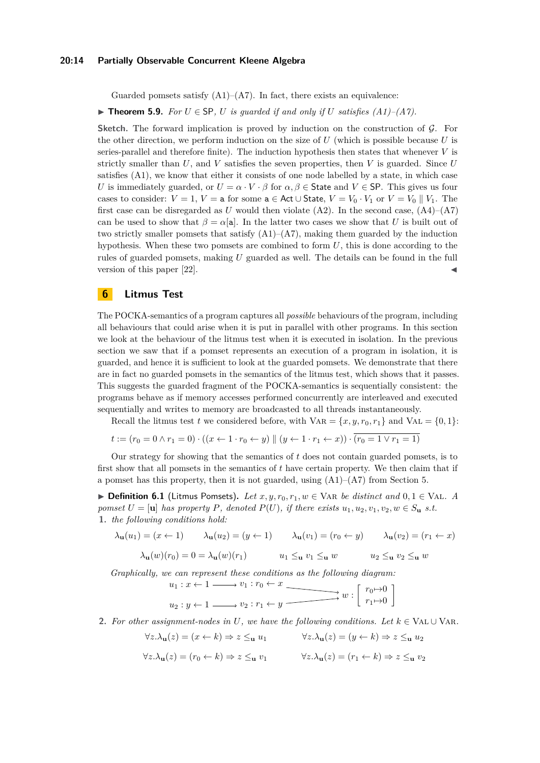#### **20:14 Partially Observable Concurrent Kleene Algebra**

Guarded pomsets satisfy  $(A1)$ – $(A7)$ . In fact, there exists an equivalence:

<span id="page-13-1"></span>▶ **Theorem 5.9.** *For*  $U \in$  SP,  $U$  *is guarded if and only if*  $U$  *satisfies (A1)–(A7).* 

**Sketch.** The forward implication is proved by induction on the construction of  $\mathcal{G}$ . For the other direction, we perform induction on the size of *U* (which is possible because *U* is series-parallel and therefore finite). The induction hypothesis then states that whenever *V* is strictly smaller than *U*, and *V* satisfies the seven properties, then *V* is guarded. Since *U* satisfies (A1), we know that either it consists of one node labelled by a state, in which case *U* is immediately guarded, or  $U = \alpha \cdot V \cdot \beta$  for  $\alpha, \beta \in$  State and  $V \in$  SP. This gives us four cases to consider:  $V = 1$ ,  $V = a$  for some  $a \in Act \cup State$ ,  $V = V_0 \cdot V_1$  or  $V = V_0 \parallel V_1$ . The first case can be disregarded as U would then violate  $(A2)$ . In the second case,  $(A4)$ – $(A7)$ can be used to show that  $\beta = \alpha[\mathbf{a}]$ . In the latter two cases we show that *U* is built out of two strictly smaller pomsets that satisfy  $(A1)$ – $(A7)$ , making them guarded by the induction hypothesis. When these two pomsets are combined to form *U*, this is done according to the rules of guarded pomsets, making *U* guarded as well. The details can be found in the full version of this paper  $[22]$ .

# <span id="page-13-0"></span>**6 Litmus Test**

The POCKA-semantics of a program captures all *possible* behaviours of the program, including all behaviours that could arise when it is put in parallel with other programs. In this section we look at the behaviour of the litmus test when it is executed in isolation. In the previous section we saw that if a pomset represents an execution of a program in isolation, it is guarded, and hence it is sufficient to look at the guarded pomsets. We demonstrate that there are in fact no guarded pomsets in the semantics of the litmus test, which shows that it passes. This suggests the guarded fragment of the POCKA-semantics is sequentially consistent: the programs behave as if memory accesses performed concurrently are interleaved and executed sequentially and writes to memory are broadcasted to all threads instantaneously.

Recall the litmus test *t* we considered before, with  $VAR = \{x, y, r_0, r_1\}$  and  $VAL = \{0, 1\}$ :

 $t := (r_0 = 0 \land r_1 = 0) \cdot ((x \leftarrow 1 \cdot r_0 \leftarrow y) \parallel (y \leftarrow 1 \cdot r_1 \leftarrow x)) \cdot (r_0 = 1 \lor r_1 = 1)$ 

Our strategy for showing that the semantics of *t* does not contain guarded pomsets, is to first show that all pomsets in the semantics of *t* have certain property. We then claim that if a pomset has this property, then it is not guarded, using  $(A1)$ – $(A7)$  from Section [5.](#page-10-0)

<span id="page-13-2"></span>**► Definition 6.1** (Litmus Pomsets). Let  $x, y, r_0, r_1, w \in \text{VAR } be \ distinct \ and \ 0, 1 \in \text{VAL}$ . A *pomset*  $U = [\mathbf{u}]$  *has property*  $P$ *, denoted*  $P(U)$ *, if there exists*  $u_1, u_2, v_1, v_2, w \in S_\mathbf{u}$  *s.t.* **1.** *the following conditions hold:*

$$
\lambda_{\mathbf{u}}(u_1) = (x \leftarrow 1) \qquad \lambda_{\mathbf{u}}(u_2) = (y \leftarrow 1) \qquad \lambda_{\mathbf{u}}(v_1) = (r_0 \leftarrow y) \qquad \lambda_{\mathbf{u}}(v_2) = (r_1 \leftarrow x)
$$

$$
\lambda_{\mathbf{u}}(w)(r_0) = 0 = \lambda_{\mathbf{u}}(w)(r_1) \qquad u_1 \leq_{\mathbf{u}} v_1 \leq_{\mathbf{u}} w \qquad u_2 \leq_{\mathbf{u}} v_2 \leq_{\mathbf{u}} w
$$

*Graphically, we can represent these conditions as the following diagram:*

$$
u_1: x \leftarrow 1 \longrightarrow v_1: r_0 \leftarrow x \longrightarrow u_2: y \leftarrow 1 \longrightarrow v_2: r_1 \leftarrow y \longrightarrow w: \begin{bmatrix} r_0 \rightarrow 0 \\ r_1 \rightarrow 0 \end{bmatrix}
$$

<span id="page-13-3"></span>**2.** For other assignment-nodes in U, we have the following conditions. Let  $k \in \text{VAL} \cup \text{VAR}$ .

$$
\forall z. \lambda_{\mathbf{u}}(z) = (x \leftarrow k) \Rightarrow z \leq_{\mathbf{u}} u_1 \qquad \forall z. \lambda_{\mathbf{u}}(z) = (y \leftarrow k) \Rightarrow z \leq_{\mathbf{u}} u_2
$$

$$
\forall z. \lambda_{\mathbf{u}}(z) = (r_0 \leftarrow k) \Rightarrow z \le_{\mathbf{u}} v_1 \qquad \forall z. \lambda_{\mathbf{u}}(z) = (r_1 \leftarrow k) \Rightarrow z \le_{\mathbf{u}} v_2
$$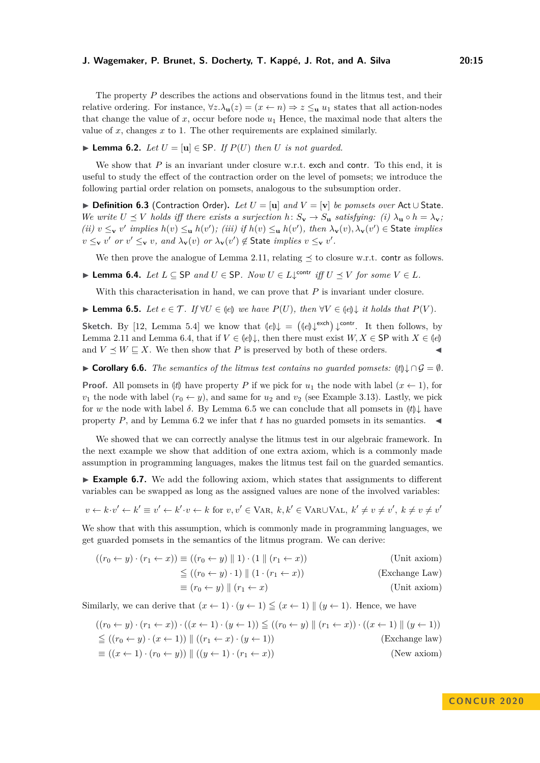The property *P* describes the actions and observations found in the litmus test, and their

relative ordering. For instance,  $\forall z.\lambda_{\mathbf{u}}(z) = (x \leftarrow n) \Rightarrow z \leq_{\mathbf{u}} u_1$  states that all action-nodes that change the value of  $x$ , occur before node  $u_1$  Hence, the maximal node that alters the value of *x*, changes *x* to 1. The other requirements are explained similarly.

▶ **Lemma 6.2.** *Let*  $U = [\mathbf{u}] \in$  SP. *If*  $P(U)$  *then*  $U$  *is not guarded.* 

We show that *P* is an invariant under closure w.r.t. exch and contr. To this end, it is useful to study the effect of the contraction order on the level of pomsets; we introduce the following partial order relation on pomsets, analogous to the subsumption order.

I **Definition 6.3** (Contraction Order)**.** *Let U* = [**u**] *and V* = [**v**] *be pomsets over* Act ∪ State*. We write*  $U \preceq V$  *holds iff there exists a surjection*  $h: S_{\mathbf{v}} \to S_{\mathbf{u}}$  *satisfying: (i)*  $\lambda_{\mathbf{u}} \circ h = \lambda_{\mathbf{v}}$ ; (ii)  $v \leq_{\mathbf{v}} v'$  implies  $h(v) \leq_{\mathbf{u}} h(v')$ ; (iii) if  $h(v) \leq_{\mathbf{u}} h(v')$ , then  $\lambda_{\mathbf{v}}(v), \lambda_{\mathbf{v}}(v') \in$  State implies  $v \leq_{\mathbf{v}} v'$  *or*  $v' \leq_{\mathbf{v}} v$ , and  $\lambda_{\mathbf{v}}(v)$  *or*  $\lambda_{\mathbf{v}}(v') \notin \text{State implies } v \leq_{\mathbf{v}} v'.$ 

We then prove the analogue of Lemma [2.11,](#page-4-1) relating  $\preceq$  to closure w.r.t. contr as follows.

▶ **Lemma 6.4.** *Let*  $L \subseteq$  SP *and*  $U \in$  SP. *Now*  $U \in L\downarrow^{contr}$  *iff*  $U \preceq V$  *for some*  $V \in L$ *.* 

With this characterisation in hand, we can prove that *P* is invariant under closure.

**► Lemma 6.5.** *Let*  $e \in \mathcal{T}$ *. If*  $\forall U \in \{e\}$  *we have*  $P(U)$ *, then*  $\forall V \in \{e\}$ *\le it holds that*  $P(V)$ *.* 

**Sketch.** By [\[12,](#page-16-8) Lemma 5.4] we know that <sup>L</sup>*βe*M<sup>↓</sup> <sup>=</sup> <sup>L</sup>*βe*M<sup>↓</sup> exch ↓ contr. It then follows, by Lemma [2.11](#page-4-1) and Lemma [6.4,](#page-9-1) that if  $V \in (e)$ , then there must exist  $W, X \in \mathsf{SP}$  with  $X \in (e)$  and  $V \prec W \sqsubset X$ . We then show that *P* is preserved by both of these orders. and  $V \preceq W \sqsubseteq X$ . We then show that P is preserved by both of these orders.

**► Corollary 6.6.** *The semantics of the litmus test contains no quarded pomsets:*  $(t) \downarrow ∩ \mathcal{G} = \emptyset$ *.* 

**Proof.** All pomsets in  $|t|$  have property *P* if we pick for  $u_1$  the node with label  $(x \leftarrow 1)$ , for  $v_1$  the node with label  $(r_0 \leftarrow y)$ , and same for  $u_2$  and  $v_2$  (see Example [3.13\)](#page-8-3). Lastly, we pick for *w* the node with label  $\delta$ . By Lemma [6.5](#page-6-1) we can conclude that all pomsets in  $|t|\downarrow$  have property *P*, and by Lemma [6.2](#page-9-0) we infer that *t* has no guarded pomsets in its semantics.  $\blacktriangleleft$ 

We showed that we can correctly analyse the litmus test in our algebraic framework. In the next example we show that addition of one extra axiom, which is a commonly made assumption in programming languages, makes the litmus test fail on the guarded semantics.

► **Example 6.7.** We add the following axiom, which states that assignments to different variables can be swapped as long as the assigned values are none of the involved variables:

 $v \leftarrow k \cdot v' \leftarrow k' \equiv v' \leftarrow k' \cdot v \leftarrow k$  for  $v, v' \in \text{VAR}, k, k' \in \text{VAR} \cup \text{VAL}, k' \neq v \neq v', k \neq v \neq v'$ 

We show that with this assumption, which is commonly made in programming languages, we get guarded pomsets in the semantics of the litmus program. We can derive:

$$
((r_0 \leftarrow y) \cdot (r_1 \leftarrow x)) \equiv ((r_0 \leftarrow y) \parallel 1) \cdot (1 \parallel (r_1 \leftarrow x))
$$
 (Unit axiom)  
\n
$$
\leq ((r_0 \leftarrow y) \cdot 1) \parallel (1 \cdot (r_1 \leftarrow x))
$$
 (Exchange Law)  
\n
$$
\equiv (r_0 \leftarrow y) \parallel (r_1 \leftarrow x)
$$
 (Unit axiom)  
\n(Unit axiom)

Similarly, we can derive that  $(x \leftarrow 1) \cdot (y \leftarrow 1) \leq (x \leftarrow 1) || (y \leftarrow 1)$ . Hence, we have

$$
((r_0 \leftarrow y) \cdot (r_1 \leftarrow x)) \cdot ((x \leftarrow 1) \cdot (y \leftarrow 1)) \le ((r_0 \leftarrow y) \parallel (r_1 \leftarrow x)) \cdot ((x \leftarrow 1) \parallel (y \leftarrow 1))
$$
  
\n
$$
\le ((r_0 \leftarrow y) \cdot (x \leftarrow 1)) \parallel ((r_1 \leftarrow x) \cdot (y \leftarrow 1))
$$
  
\n
$$
\equiv ((x \leftarrow 1) \cdot (r_0 \leftarrow y)) \parallel ((y \leftarrow 1) \cdot (r_1 \leftarrow x))
$$
  
\n
$$
((r_0 \leftarrow y) \cdot (r_0 \leftarrow y)) \parallel ((y \leftarrow 1) \cdot (r_1 \leftarrow x))
$$
  
\n
$$
((r_0 \leftarrow y) \cdot (r_0 \leftarrow y)) \parallel ((y \leftarrow 1) \cdot (r_1 \leftarrow x))
$$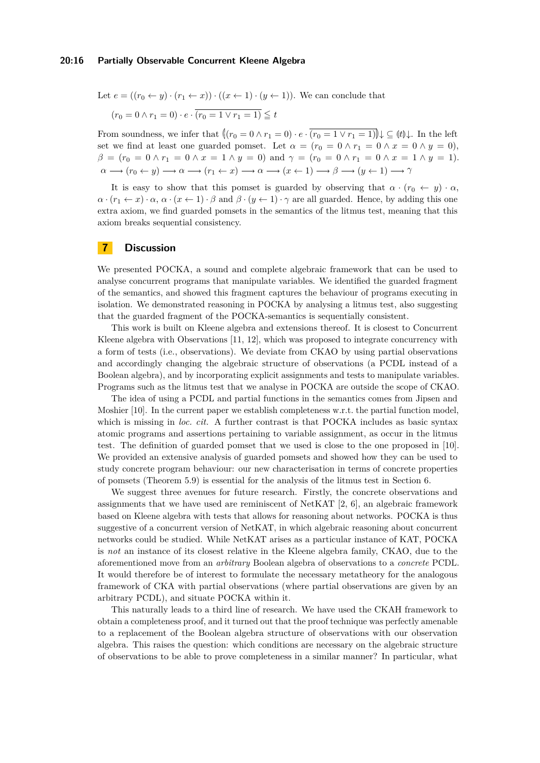#### **20:16 Partially Observable Concurrent Kleene Algebra**

Let  $e = ((r_0 \leftarrow y) \cdot (r_1 \leftarrow x)) \cdot ((x \leftarrow 1) \cdot (y \leftarrow 1))$ . We can conclude that  $(r_0 = 0 \land r_1 = 0) \cdot e \cdot (r_0 = 1 \lor r_1 = 1) \leq t$ 

From soundness, we infer that  $\left\|(r_0 = 0 \wedge r_1 = 0) \cdot e \cdot \overline{(r_0 = 1 \vee r_1 = 1)}\right\| \downarrow \subseteq \{t\} \downarrow$ . In the left set we find at least one guarded pomset. Let  $\alpha = (r_0 = 0 \land r_1 = 0 \land x = 0 \land y = 0)$ ,  $\beta = (r_0 = 0 \land r_1 = 0 \land x = 1 \land y = 0)$  and  $\gamma = (r_0 = 0 \land r_1 = 0 \land x = 1 \land y = 1)$ .  $\alpha \longrightarrow (r_0 \leftarrow y) \longrightarrow \alpha \longrightarrow (r_1 \leftarrow x) \longrightarrow \alpha \longrightarrow (x \leftarrow 1) \longrightarrow \beta \longrightarrow (y \leftarrow 1) \longrightarrow \gamma$ 

It is easy to show that this pomset is guarded by observing that  $\alpha \cdot (r_0 \leftarrow y) \cdot \alpha$ ,  $\alpha \cdot (r_1 \leftarrow x) \cdot \alpha$ ,  $\alpha \cdot (x \leftarrow 1) \cdot \beta$  and  $\beta \cdot (y \leftarrow 1) \cdot \gamma$  are all guarded. Hence, by adding this one extra axiom, we find guarded pomsets in the semantics of the litmus test, meaning that this axiom breaks sequential consistency.

# **7 Discussion**

We presented POCKA, a sound and complete algebraic framework that can be used to analyse concurrent programs that manipulate variables. We identified the guarded fragment of the semantics, and showed this fragment captures the behaviour of programs executing in isolation. We demonstrated reasoning in POCKA by analysing a litmus test, also suggesting that the guarded fragment of the POCKA-semantics is sequentially consistent.

This work is built on Kleene algebra and extensions thereof. It is closest to Concurrent Kleene algebra with Observations [\[11,](#page-16-7) [12\]](#page-16-8), which was proposed to integrate concurrency with a form of tests (i.e., observations). We deviate from CKAO by using partial observations and accordingly changing the algebraic structure of observations (a PCDL instead of a Boolean algebra), and by incorporating explicit assignments and tests to manipulate variables. Programs such as the litmus test that we analyse in POCKA are outside the scope of CKAO.

The idea of using a PCDL and partial functions in the semantics comes from Jipsen and Moshier [\[10\]](#page-16-6). In the current paper we establish completeness w.r.t. the partial function model, which is missing in *loc. cit.* A further contrast is that POCKA includes as basic syntax atomic programs and assertions pertaining to variable assignment, as occur in the litmus test. The definition of guarded pomset that we used is close to the one proposed in [\[10\]](#page-16-6). We provided an extensive analysis of guarded pomsets and showed how they can be used to study concrete program behaviour: our new characterisation in terms of concrete properties of pomsets (Theorem [5.9\)](#page-13-1) is essential for the analysis of the litmus test in Section [6.](#page-13-0)

We suggest three avenues for future research. Firstly, the concrete observations and assignments that we have used are reminiscent of NetKAT [\[2,](#page-16-20) [6\]](#page-16-21), an algebraic framework based on Kleene algebra with tests that allows for reasoning about networks. POCKA is thus suggestive of a concurrent version of NetKAT, in which algebraic reasoning about concurrent networks could be studied. While NetKAT arises as a particular instance of KAT, POCKA is *not* an instance of its closest relative in the Kleene algebra family, CKAO, due to the aforementioned move from an *arbitrary* Boolean algebra of observations to a *concrete* PCDL. It would therefore be of interest to formulate the necessary metatheory for the analogous framework of CKA with partial observations (where partial observations are given by an arbitrary PCDL), and situate POCKA within it.

This naturally leads to a third line of research. We have used the CKAH framework to obtain a completeness proof, and it turned out that the proof technique was perfectly amenable to a replacement of the Boolean algebra structure of observations with our observation algebra. This raises the question: which conditions are necessary on the algebraic structure of observations to be able to prove completeness in a similar manner? In particular, what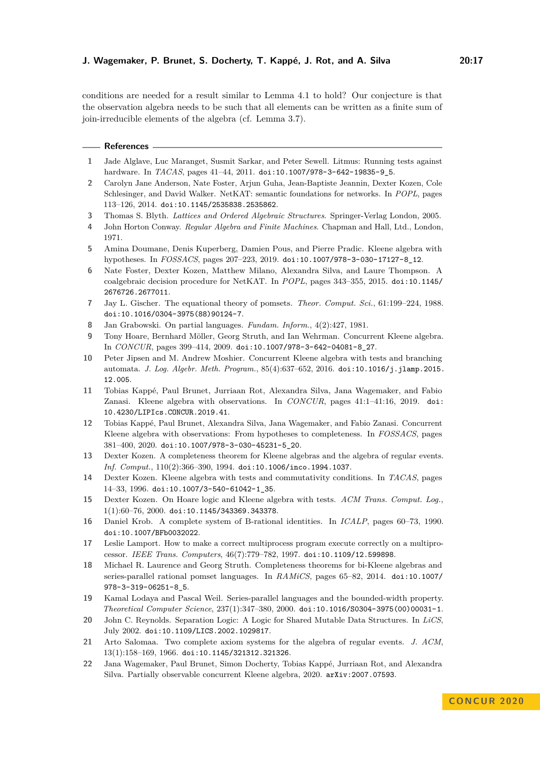conditions are needed for a result similar to Lemma [4.1](#page-8-2) to hold? Our conjecture is that the observation algebra needs to be such that all elements can be written as a finite sum of join-irreducible elements of the algebra (cf. Lemma [3.7\)](#page-6-0).

#### **References**

- <span id="page-16-10"></span>**1** Jade Alglave, Luc Maranget, Susmit Sarkar, and Peter Sewell. Litmus: Running tests against hardware. In *TACAS*, pages 41–44, 2011. [doi:10.1007/978-3-642-19835-9\\_5](https://doi.org/10.1007/978-3-642-19835-9_5).
- <span id="page-16-20"></span>**2** Carolyn Jane Anderson, Nate Foster, Arjun Guha, Jean-Baptiste Jeannin, Dexter Kozen, Cole Schlesinger, and David Walker. NetKAT: semantic foundations for networks. In *POPL*, pages 113–126, 2014. [doi:10.1145/2535838.2535862](https://doi.org/10.1145/2535838.2535862).
- <span id="page-16-13"></span>**3** Thomas S. Blyth. *Lattices and Ordered Algebraic Structures*. Springer-Verlag London, 2005.
- <span id="page-16-1"></span>**4** John Horton Conway. *Regular Algebra and Finite Machines*. Chapman and Hall, Ltd., London, 1971.
- <span id="page-16-18"></span>**5** Amina Doumane, Denis Kuperberg, Damien Pous, and Pierre Pradic. Kleene algebra with hypotheses. In *FOSSACS*, pages 207–223, 2019. [doi:10.1007/978-3-030-17127-8\\_12](https://doi.org/10.1007/978-3-030-17127-8_12).
- <span id="page-16-21"></span>**6** Nate Foster, Dexter Kozen, Matthew Milano, Alexandra Silva, and Laure Thompson. A coalgebraic decision procedure for NetKAT. In *POPL*, pages 343–355, 2015. [doi:10.1145/](https://doi.org/10.1145/2676726.2677011) [2676726.2677011](https://doi.org/10.1145/2676726.2677011).
- <span id="page-16-14"></span>**7** Jay L. Gischer. The equational theory of pomsets. *Theor. Comput. Sci.*, 61:199–224, 1988. [doi:10.1016/0304-3975\(88\)90124-7](https://doi.org/10.1016/0304-3975(88)90124-7).
- <span id="page-16-15"></span>**8** Jan Grabowski. On partial languages. *Fundam. Inform.*, 4(2):427, 1981.
- <span id="page-16-5"></span>**9** Tony Hoare, Bernhard Möller, Georg Struth, and Ian Wehrman. Concurrent Kleene algebra. In *CONCUR*, pages 399–414, 2009. [doi:10.1007/978-3-642-04081-8\\_27](https://doi.org/10.1007/978-3-642-04081-8_27).
- <span id="page-16-6"></span>**10** Peter Jipsen and M. Andrew Moshier. Concurrent Kleene algebra with tests and branching automata. *J. Log. Algebr. Meth. Program.*, 85(4):637–652, 2016. [doi:10.1016/j.jlamp.2015.](https://doi.org/10.1016/j.jlamp.2015.12.005) [12.005](https://doi.org/10.1016/j.jlamp.2015.12.005).
- <span id="page-16-7"></span>**11** Tobias Kappé, Paul Brunet, Jurriaan Rot, Alexandra Silva, Jana Wagemaker, and Fabio Zanasi. Kleene algebra with observations. In *CONCUR*, pages 41:1–41:16, 2019. [doi:](https://doi.org/10.4230/LIPIcs.CONCUR.2019.41) [10.4230/LIPIcs.CONCUR.2019.41](https://doi.org/10.4230/LIPIcs.CONCUR.2019.41).
- <span id="page-16-8"></span>**12** Tobias Kappé, Paul Brunet, Alexandra Silva, Jana Wagemaker, and Fabio Zanasi. Concurrent Kleene algebra with observations: From hypotheses to completeness. In *FOSSACS*, pages 381–400, 2020. [doi:10.1007/978-3-030-45231-5\\_20](https://doi.org/10.1007/978-3-030-45231-5_20).
- <span id="page-16-3"></span>**13** Dexter Kozen. A completeness theorem for Kleene algebras and the algebra of regular events. *Inf. Comput.*, 110(2):366–390, 1994. [doi:10.1006/inco.1994.1037](https://doi.org/10.1006/inco.1994.1037).
- <span id="page-16-4"></span>**14** Dexter Kozen. Kleene algebra with tests and commutativity conditions. In *TACAS*, pages 14–33, 1996. [doi:10.1007/3-540-61042-1\\_35](https://doi.org/10.1007/3-540-61042-1_35).
- <span id="page-16-11"></span>**15** Dexter Kozen. On Hoare logic and Kleene algebra with tests. *ACM Trans. Comput. Log.*, 1(1):60–76, 2000. [doi:10.1145/343369.343378](https://doi.org/10.1145/343369.343378).
- <span id="page-16-2"></span>**16** Daniel Krob. A complete system of B-rational identities. In *ICALP*, pages 60–73, 1990. [doi:10.1007/BFb0032022](https://doi.org/10.1007/BFb0032022).
- <span id="page-16-9"></span>**17** Leslie Lamport. How to make a correct multiprocess program execute correctly on a multiprocessor. *IEEE Trans. Computers*, 46(7):779–782, 1997. [doi:10.1109/12.599898](https://doi.org/10.1109/12.599898).
- <span id="page-16-16"></span>**18** Michael R. Laurence and Georg Struth. Completeness theorems for bi-Kleene algebras and series-parallel rational pomset languages. In *RAMiCS*, pages 65–82, 2014. [doi:10.1007/](https://doi.org/10.1007/978-3-319-06251-8_5) [978-3-319-06251-8\\_5](https://doi.org/10.1007/978-3-319-06251-8_5).
- <span id="page-16-17"></span>**19** Kamal Lodaya and Pascal Weil. Series-parallel languages and the bounded-width property. *Theoretical Computer Science*, 237(1):347–380, 2000. [doi:10.1016/S0304-3975\(00\)00031-1](https://doi.org/10.1016/S0304-3975(00)00031-1).
- <span id="page-16-12"></span>**20** John C. Reynolds. Separation Logic: A Logic for Shared Mutable Data Structures. In *LiCS*, July 2002. [doi:10.1109/LICS.2002.1029817](https://doi.org/10.1109/LICS.2002.1029817).
- <span id="page-16-0"></span>**21** Arto Salomaa. Two complete axiom systems for the algebra of regular events. *J. ACM*, 13(1):158–169, 1966. [doi:10.1145/321312.321326](https://doi.org/10.1145/321312.321326).
- <span id="page-16-19"></span>**22** Jana Wagemaker, Paul Brunet, Simon Docherty, Tobias Kappé, Jurriaan Rot, and Alexandra Silva. Partially observable concurrent Kleene algebra, 2020. [arXiv:2007.07593](http://arxiv.org/abs/2007.07593).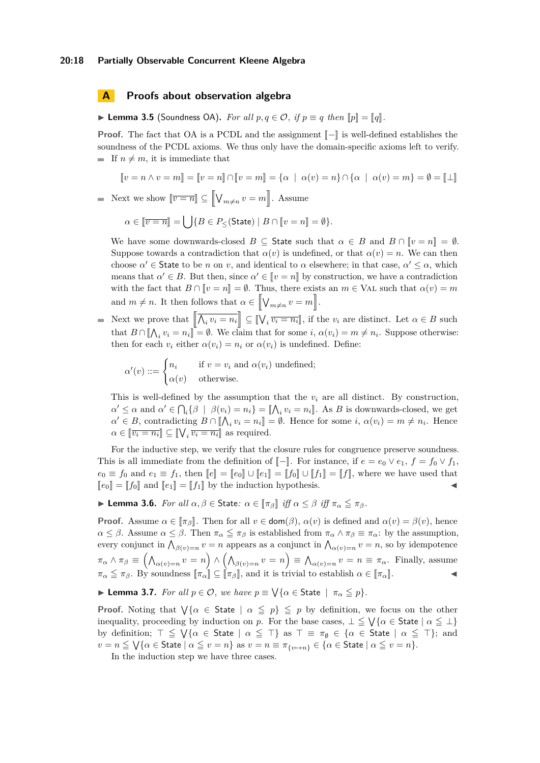# **A Proofs about observation algebra**

▶ **Lemma 3.5** (Soundness OA). *For all*  $p, q \in \mathcal{O}$ , *if*  $p \equiv q$  *then*  $||p|| = ||q||$ *.* 

**Proof.** The fact that OA is a PCDL and the assignment  $\llbracket - \rrbracket$  is well-defined establishes the soundness of the PCDL axioms. We thus only have the domain-specific axioms left to verify. If  $n \neq m$ , it is immediate that

$$
\llbracket v = n \land v = m \rrbracket = \llbracket v = n \rrbracket \cap \llbracket v = m \rrbracket = \{ \alpha \mid \alpha(v) = n \} \cap \{ \alpha \mid \alpha(v) = m \} = \emptyset = \llbracket \bot \rrbracket
$$

Next we show  $[\overline{v} = \overline{n}] \subseteq [\![ \bigvee_{m \neq n} v = m]\!]$ . Assume

$$
\alpha \in \llbracket \overline{v=n} \rrbracket = \bigcup \{ B \in P_{\leq}(\mathsf{State}) \mid B \cap \llbracket v=n \rrbracket = \emptyset \}.
$$

We have some downwards-closed  $B \subseteq$  State such that  $\alpha \in B$  and  $B \cap [v = n] = \emptyset$ . Suppose towards a contradiction that  $\alpha(v)$  is undefined, or that  $\alpha(v) = n$ . We can then choose  $\alpha' \in$  State to be *n* on *v*, and identical to  $\alpha$  elsewhere; in that case,  $\alpha' \leq \alpha$ , which means that  $\alpha' \in B$ . But then, since  $\alpha' \in \llbracket v = n \rrbracket$  by construction, we have a contradiction with the fact that  $B \cap [v = n] = \emptyset$ . Thus, there exists an  $m \in \text{VAL}$  such that  $\alpha(v) = m$ and  $m \neq n$ . It then follows that  $\alpha \in \left[ \bigvee_{m \neq n} v = m \right]$ .

Next we prove that  $\left[\overline{\bigwedge_i v_i = n_i}\right] \subseteq \left[\bigvee_i \overline{v_i = n_i}\right]$ , if the  $v_i$  are distinct. Let  $\alpha \in B$  such that  $B \cap [\![] \bigwedge_i v_i = n_i[\!] = \emptyset$ . We claim that for some  $i, \alpha(v_i) = m \neq n_i$ . Suppose otherwise: then for each  $v_i$  either  $\alpha(v_i) = n_i$  or  $\alpha(v_i)$  is undefined. Define:

$$
\alpha'(v) ::= \begin{cases} n_i & \text{if } v = v_i \text{ and } \alpha(v_i) \text{ undefined;} \\ \alpha(v) & \text{otherwise.} \end{cases}
$$

This is well-defined by the assumption that the  $v_i$  are all distinct. By construction,  $\alpha' \leq \alpha$  and  $\alpha' \in \bigcap_i {\beta \mid \beta(v_i) = n_i} = {\lbrack \bigwedge_i v_i = n_i \rbrack}$ . As *B* is downwards-closed, we get  $\alpha' \in B$ , contradicting  $B \cap [\![\bigwedge_i v_i = n_i]\!] = \emptyset$ . Hence for some *i*,  $\alpha(v_i) = m \neq n_i$ . Hence  $\alpha \in [\![\overline{v_i = n_i}]\!] \subseteq [\![\bigvee_i \overline{v_i = n_i}]\!]$  as required.

For the inductive step, we verify that the closure rules for congruence preserve soundness. This is all immediate from the definition of  $\llbracket - \rrbracket$ . For instance, if  $e = e_0 \vee e_1$ ,  $f = f_0 \vee f_1$ ,  $e_0 \equiv f_0$  and  $e_1 \equiv f_1$ , then  $\llbracket e \rrbracket = \llbracket e_0 \rrbracket \cup \llbracket e_1 \rrbracket = \llbracket f_0 \rrbracket \cup \llbracket f_1 \rrbracket = \llbracket f \rrbracket$ , where we have used that  $\llbracket e_0 \rrbracket = \llbracket f_0 \rrbracket$  and  $\llbracket e_1 \rrbracket = \llbracket f_1 \rrbracket$  by the induction hypothesis.

**► Lemma 3.6.** *For all*  $\alpha, \beta \in$  State:  $\alpha \in [\pi_{\beta}]$  *iff*  $\alpha \leq \beta$  *iff*  $\pi_{\alpha} \leq \pi_{\beta}$ *.* 

**Proof.** Assume  $\alpha \in [\pi_{\beta}]$ . Then for all  $v \in \text{dom}(\beta)$ ,  $\alpha(v)$  is defined and  $\alpha(v) = \beta(v)$ , hence  $\alpha \leq \beta$ . Assume  $\alpha \leq \beta$ . Then  $\pi_{\alpha} \leq \pi_{\beta}$  is established from  $\pi_{\alpha} \wedge \pi_{\beta} \equiv \pi_{\alpha}$ : by the assumption, every conjunct in  $\bigwedge_{\beta(v)=n} v = n$  appears as a conjunct in  $\bigwedge_{\alpha(v)=n} v = n$ , so by idempotence  $\pi_{\alpha} \wedge \pi_{\beta} \equiv (\bigwedge_{\alpha(v)=n} v = n) \wedge (\bigwedge_{\beta(v)=n} v = n) \equiv \bigwedge_{\alpha(v)=n} v = n \equiv \pi_{\alpha}$ . Finally, assume  $\pi_{\alpha} \leq \pi_{\beta}$ . By soundness  $[\![\pi_{\alpha}]\!] \subseteq [\![\pi_{\beta}]\!]$ , and it is trivial to establish  $\alpha \in [\![\pi_{\alpha}]\!]$ .

**I Lemma 3.7.** *For all*  $p \in \mathcal{O}$ , *we have*  $p \equiv \sqrt{\{\alpha \in \text{State}\,} \mid \pi_{\alpha} \leq p\}.$ 

**Proof.** Noting that  $\bigvee \{\alpha \in \mathsf{State} \mid \alpha \leq p\} \leq p$  by definition, we focus on the other inequality, proceeding by induction on *p*. For the base cases,  $\perp \leq \sqrt{\{\alpha \in \text{State}\}\alpha} \leq \perp$ by definition;  $\top \leq \sqrt{\{\alpha \in \text{State} \mid \alpha \leq \top\}}$  as  $\top \equiv \pi_{\emptyset} \in \{\alpha \in \text{State} \mid \alpha \leq \top\}$ ; and  $v = n \leq \sqrt{\{\alpha \in \text{State}\mid \alpha \leq v = n\}} \text{ as } v = n \equiv \pi_{\{v \mapsto n\}} \in \{\alpha \in \text{State}\mid \alpha \leq v = n\}.$ 

In the induction step we have three cases.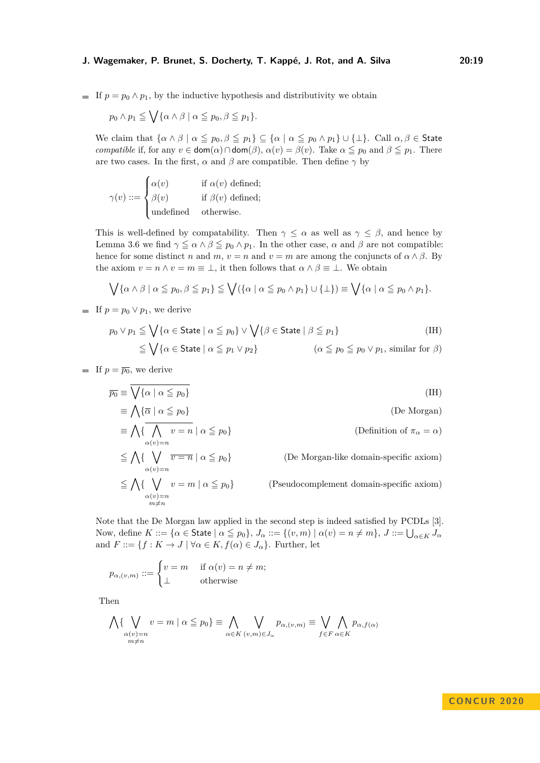If  $p = p_0 \wedge p_1$ , by the inductive hypothesis and distributivity we obtain

$$
p_0 \wedge p_1 \leqq \bigvee \{ \alpha \wedge \beta \mid \alpha \leqq p_0, \beta \leqq p_1 \}.
$$

We claim that  $\{\alpha \wedge \beta \mid \alpha \leq p_0, \beta \leq p_1\} \subseteq \{\alpha \mid \alpha \leq p_0 \wedge p_1\} \cup \{\perp\}.$  Call  $\alpha, \beta \in$  State *compatible* if, for any  $v \in \text{dom}(\alpha) \cap \text{dom}(\beta)$ ,  $\alpha(v) = \beta(v)$ . Take  $\alpha \leq p_0$  and  $\beta \leq p_1$ . There are two cases. In the first,  $\alpha$  and  $\beta$  are compatible. Then define  $\gamma$  by

$$
\gamma(v) ::= \begin{cases} \alpha(v) & \text{if } \alpha(v) \text{ defined;} \\ \beta(v) & \text{if } \beta(v) \text{ defined;} \\ \text{undefined} & \text{otherwise.} \end{cases}
$$

This is well-defined by compatability. Then  $\gamma \leq \alpha$  as well as  $\gamma \leq \beta$ , and hence by Lemma [3.6](#page-6-2) we find  $\gamma \leq \alpha \wedge \beta \leq p_0 \wedge p_1$ . In the other case,  $\alpha$  and  $\beta$  are not compatible: hence for some distinct *n* and *m*,  $v = n$  and  $v = m$  are among the conjuncts of  $\alpha \wedge \beta$ . By the axiom  $v = n \wedge v = m \equiv \bot$ , it then follows that  $\alpha \wedge \beta \equiv \bot$ . We obtain

$$
\bigvee \{\alpha \wedge \beta \mid \alpha \leq p_0, \beta \leq p_1\} \leq \bigvee (\{\alpha \mid \alpha \leq p_0 \wedge p_1\} \cup \{\bot\}) \equiv \bigvee \{\alpha \mid \alpha \leq p_0 \wedge p_1\}.
$$

**If**  $p = p_0 \vee p_1$ , we derive

$$
p_0 \vee p_1 \leq \bigvee \{ \alpha \in \text{State} \mid \alpha \leq p_0 \} \vee \bigvee \{ \beta \in \text{State} \mid \beta \leq p_1 \} \tag{IH}
$$
  

$$
\leq \bigvee \{ \alpha \in \text{State} \mid \alpha \leq p_1 \vee p_2 \} \tag{IH}
$$
  

$$
(\alpha \leq p_0 \leq p_0 \vee p_1, \text{ similar for } \beta)
$$

**If**  $p = \overline{p_0}$ , we derive

$$
\overline{p_0} \equiv \bigvee \{ \alpha \mid \alpha \leq p_0 \}
$$
\n
$$
\equiv \bigwedge \{ \overline{\alpha} \mid \alpha \leq p_0 \}
$$
\n
$$
\equiv \bigwedge \{ \overline{\bigwedge_{\alpha(v)=n} v = n} \mid \alpha \leq p_0 \}
$$
\n
$$
\leq \bigwedge \{ \bigvee_{\alpha(v)=n} \overline{v = n} \mid \alpha \leq p_0 \}
$$
\n
$$
\equiv \bigwedge \{ \bigvee_{\alpha(v)=n} \overline{v = n} \mid \alpha \leq p_0 \}
$$
\n
$$
\equiv \bigwedge \{ \bigvee_{\alpha(v)=n} v = m \mid \alpha \leq p_0 \}
$$
\n
$$
\text{(De Morgan-like domain-specific axiom)}
$$
\n
$$
\leq \bigwedge \{ \bigvee_{\alpha(v)=n} v = m \mid \alpha \leq p_0 \}
$$
\n
$$
\text{(Pseudocomplement domain-specific axiom)}
$$

Note that the De Morgan law applied in the second step is indeed satisfied by PCDLs [\[3\]](#page-16-13). Now, define  $K ::= {\alpha \in \mathsf{State} \mid \alpha \leq p_0}, \ J_\alpha ::= \{(v, m) \mid \alpha(v) = n \neq m\}, \ J ::= \bigcup_{\alpha \in K} J_\alpha$ and  $F ::= \{f : K \to J \mid \forall \alpha \in K, f(\alpha) \in J_\alpha\}$ . Further, let

$$
p_{\alpha,(v,m)} ::= \begin{cases} v = m & \text{if } \alpha(v) = n \neq m; \\ \perp & \text{otherwise} \end{cases}
$$

Then

$$
\bigwedge \{ \bigvee_{\substack{\alpha(v)=n \\ m \neq n}} v = m \mid \alpha \leq p_0 \} \equiv \bigwedge_{\alpha \in K} \bigvee_{(v,m) \in J_\alpha} p_{\alpha,(v,m)} \equiv \bigvee_{f \in F} \bigwedge_{\alpha \in K} p_{\alpha,f(\alpha)}
$$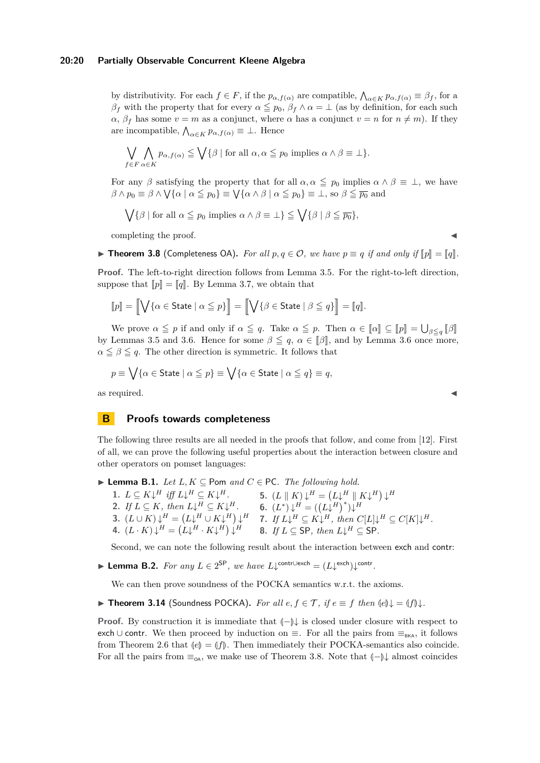by distributivity. For each  $f \in F$ , if the  $p_{\alpha, f(\alpha)}$  are compatible,  $\bigwedge_{\alpha \in K} p_{\alpha, f(\alpha)} \equiv \beta_f$ , for a *β*<sup>*f*</sup> with the property that for every  $\alpha \leq p_0$ ,  $\beta_f \wedge \alpha = \bot$  (as by definition, for each such  $\alpha$ ,  $\beta$ <sup>*f*</sup> has some  $v = m$  as a conjunct, where  $\alpha$  has a conjunct  $v = n$  for  $n \neq m$ ). If they are incompatible,  $\bigwedge_{\alpha \in K} p_{\alpha, f(\alpha)} \equiv \bot$ . Hence

$$
\bigvee_{f \in F} \bigwedge_{\alpha \in K} p_{\alpha, f(\alpha)} \leqq \bigvee \{ \beta \mid \text{for all } \alpha, \alpha \leqq p_0 \text{ implies } \alpha \wedge \beta \equiv \bot \}.
$$

For any  $\beta$  satisfying the property that for all  $\alpha, \alpha \leq p_0$  implies  $\alpha \wedge \beta \equiv \bot$ , we have  $\beta \wedge p_0 \equiv \beta \wedge \bigvee \{\alpha \mid \alpha \leq p_0\} \equiv \bigvee \{\alpha \wedge \beta \mid \alpha \leq p_0\} \equiv \bot$ , so  $\beta \leq \overline{p_0}$  and

$$
\bigvee \{ \beta \mid \text{for all } \alpha \leq p_0 \text{ implies } \alpha \wedge \beta \equiv \bot \} \leq \bigvee \{ \beta \mid \beta \leq \overline{p_0} \},
$$

completing the proof.

▶ **Theorem 3.8** (Completeness OA). *For all*  $p, q \in \mathcal{O}$ , we have  $p \equiv q$  *if and only if*  $\llbracket p \rrbracket = \llbracket q \rrbracket$ .

**Proof.** The left-to-right direction follows from Lemma [3.5.](#page-6-1) For the right-to-left direction, suppose that  $\llbracket p \rrbracket = \llbracket q \rrbracket$ . By Lemma [3.7,](#page-6-0) we obtain that

$$
[\![p]\!] = [\![\bigvee\{\alpha \in \text{State} \mid \alpha \leqq p\}]\!] = [\![\bigvee\{\beta \in \text{State} \mid \beta \leqq q\}]\!] = [\![q]\!].
$$

We prove  $\alpha \leq p$  if and only if  $\alpha \leq q$ . Take  $\alpha \leq p$ . Then  $\alpha \in [\![\alpha]\!] \subseteq [\![p]\!] = \bigcup_{\beta \leq q} [\![\beta]\!]$ by Lemmas [3.5](#page-6-1) and [3.6.](#page-6-2) Hence for some  $\beta \leq q$ ,  $\alpha \in [\beta]$ , and by Lemma [3.6](#page-6-2) once more,  $\alpha \leq \beta \leq q$ . The other direction is symmetric. It follows that

$$
p\equiv \bigvee\{\alpha\in\mathsf{State}\mid \alpha\leqq p\}\equiv \bigvee\{\alpha\in\mathsf{State}\mid \alpha\leqq q\}\equiv q,
$$

as required.  $\blacksquare$ 

### **B Proofs towards completeness**

The following three results are all needed in the proofs that follow, and come from [\[12\]](#page-16-8). First of all, we can prove the following useful properties about the interaction between closure and other operators on pomset languages:

**► Lemma B.1.** *Let*  $L, K \subseteq$  Pom and  $C \in$  PC*. The following hold.* 

<span id="page-19-2"></span><span id="page-19-0"></span>1.  $L \subseteq K \downarrow^H$  *iff*  $L \downarrow^H \subseteq K \downarrow^H$ . 2. *If*  $L \subseteq K$ *, then*  $L \downarrow^H \subseteq K \downarrow^H$ *.* **3.**  $(L \cup K) \downarrow^H = (L \downarrow^H \cup K \downarrow^H) \downarrow^H$  $( L \cdot K ) \downarrow^H = ( L \downarrow^H \cdot K \downarrow^H ) \downarrow^H$ **5.**  $(L \parallel K) \downarrow^H = (L \downarrow^H \parallel K \downarrow^H) \downarrow^H$ **6.**  $(L^*) \downarrow H = ((L \downarrow H)^*) \downarrow H$ **7.** *If*  $L \downarrow^H \subseteq K \downarrow^H$ , then  $C[L] \downarrow^H \subseteq C[K] \downarrow^H$ . **8.** *If*  $L \subseteq$  SP, *then*  $L \downarrow^H \subseteq$  SP.

Second, we can note the following result about the interaction between exch and contr:

<span id="page-19-1"></span>**► Lemma B.2.** For any  $L \in 2^{SP}$ , we have  $L \downarrow^{contr \cup exch} = (L \downarrow^{exch}) \downarrow^{contr.}$ 

We can then prove soundness of the POCKA semantics w.r.t. the axioms.

**► Theorem 3.14** (Soundness POCKA). *For all*  $e, f \in \mathcal{T}$ , *if*  $e \equiv f$  *then*  $\langle e \rangle \downarrow = \langle f \rangle \downarrow$ *.* 

**Proof.** By construction it is immediate that  $\langle \vert -\rangle \downarrow$  is closed under closure with respect to exch ∪ contr. We then proceed by induction on  $\equiv$ . For all the pairs from  $\equiv_{BKA}$ , it follows from Theorem [2.6](#page-3-0) that  $\llbracket e \rrbracket = \llbracket f \rrbracket$ . Then immediately their POCKA-semantics also coincide. For all the pairs from  $\equiv_{\mathsf{OA}}$ , we make use of Theorem [3.8.](#page-6-3) Note that  $\llbracket -\rrbracket \downarrow$  almost coincides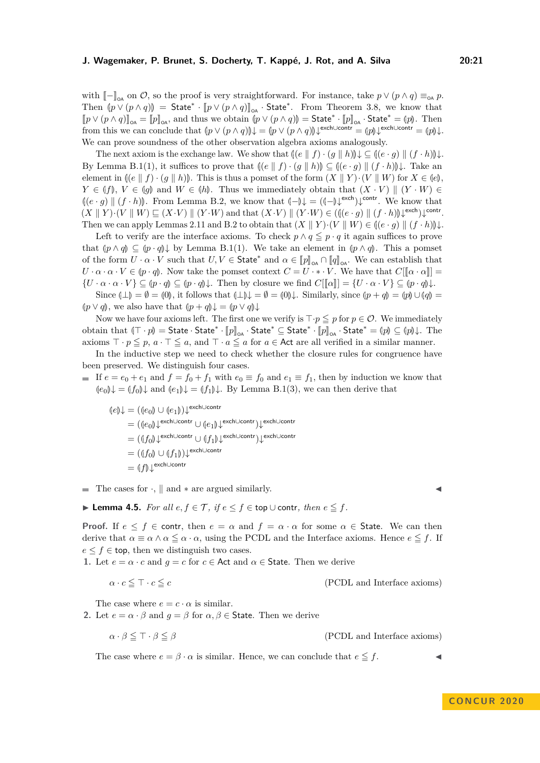with  $\llbracket - \rrbracket_{\text{on}}$  on  $\mathcal{O}$ , so the proof is very straightforward. For instance, take  $p \vee (p \wedge q) \equiv_{\text{on}} p$ . Then  $(p \vee (p \wedge q))$  = State<sup>\*</sup> ·  $[p \vee (p \wedge q)]_{\text{OA}}$  · State<sup>\*</sup>. From Theorem [3.8,](#page-6-3) we know that  $[\![p \wedge (p \wedge q)]\!]$  and thus we obtain  $[\![p \wedge (p \wedge q)]\!]$ . State<sup>\*</sup>  $[\![p \cdot]]$  state<sup>\*</sup>  $[\![p \cdot]]$  $[p \lor (p \land q)]_{\text{OA}} = [p]_{\text{OA}}$ , and thus we obtain  $(p \lor (p \land q)) = \text{State}^* \cdot [p]_{\text{OA}} \cdot \text{State}^* = (p)$ . Then from this we can conclude that  $(p \lor (p \land q))\downarrow = (p \lor (p \land q))\downarrow$ <sup>exch∪contr</sup> =  $(p)\downarrow$ <sup>exch∪contr</sup> =  $(p)\downarrow$ . We can prove soundness of the other observation algebra axioms analogously.

The next axiom is the exchange law. We show that  $\left(\left(\begin{array}{c|c} e & f \end{array}\right), \left(\begin{array}{c|c} q & h \end{array}\right)\right) \downarrow \subseteq \left(\left(\begin{array}{c|c} e & g \end{array}\right), \left(\begin{array}{c|c} f & h \end{array}\right)\right) \downarrow$ . By Lemma [B.1\(](#page-8-2)[1\)](#page-19-0), it suffices to prove that  $\left(\left(e \parallel f\right) \cdot \left(g \parallel h\right)\right) \subseteq \left(\left(e \cdot g\right) \parallel \left(f \cdot h\right)\right) \downarrow$ . Take an element in  $\{(e \mid f) \cdot (g \mid h)\}\)$ . This is thus a pomset of the form  $(X \mid Y) \cdot (V \mid W)$  for  $X \in \{e\}$ ,  $Y \in (f)$ ,  $V \in (g)$  and  $W \in (h)$ . Thus we immediately obtain that  $(X \cdot V) \parallel (Y \cdot W) \in$  $\left(\left(e \cdot g\right) \parallel (f \cdot h)\right)$ . From Lemma [B.2,](#page-19-1) we know that  $\left(\neg \beta \downarrow = (\left(\neg \beta \downarrow^{\text{exch}})\right) \downarrow^{\text{contr}}$ . We know that  $\left(Y \parallel V\right) \parallel (Y \parallel V) \parallel (Y \parallel V) \parallel (Y \parallel V) \parallel (Y \parallel V) \parallel (Y \parallel V) \parallel (Y \parallel V) \parallel (Y \parallel V) \parallel (Y \parallel V) \parallel (Y \parallel V) \parallel (Y \parallel V) \parallel (Y \parallel V) \parallel (Y \parallel V) \parallel (Y \parallel$  $(X \parallel Y) \cdot (V \parallel W) \sqsubseteq (X \cdot V) \parallel (Y \cdot W)$  and that  $(X \cdot V) \parallel (Y \cdot W) \in ((e \cdot g) \parallel (f \cdot h)) \downarrow^{\text{exch}}) \downarrow^{\text{contr}}$ .<br>There we say surely Laurence 2.11 and B.2 to sktrig that  $(X \parallel Y) \cup (Y \parallel W) \subseteq d(e, \infty) \parallel (f, h)$ . Then we can apply Lemmas [2.11](#page-4-1) and [B.2](#page-19-1) to obtain that  $(X \parallel Y) \cdot (V \parallel W) \in ((e \cdot g) \parallel (f \cdot h)) \downarrow$ .

Left to verify are the interface axioms. To check  $p \wedge q \leq p \cdot q$  it again suffices to prove that  $(p \land q) \subseteq (p \cdot q) \downarrow$  by Lemma [B.1](#page-8-2)[\(1\)](#page-19-0). We take an element in  $(p \land q)$ . This a pomset of the form  $U \cdot \alpha \cdot V$  such that  $U, V \in \mathsf{State}^*$  and  $\alpha \in [\![p]\!]_{\alpha\alpha} \cap [\![q]\!]_{\alpha\alpha}$ . We can establish that  $U \cap U \subseteq \mathcal{U}$  and  $\alpha \in \mathcal{U}$  and  $\alpha \in \mathcal{U}$ . We have that  $C[\![q]_{\alpha\alpha}$  $U \cdot \alpha \cdot \alpha \cdot V \in (p \cdot q)$ . Now take the pomset context  $C = U \cdot * \cdot V$ . We have that  $C[[\alpha \cdot \alpha]] =$  $\{U \cdot \alpha \cdot \alpha \cdot V\} \subseteq (p \cdot q) \subseteq (p \cdot q) \downarrow$ . Then by closure we find  $C[[\alpha]] = \{U \cdot \alpha \cdot V\} \subseteq (p \cdot q) \downarrow$ .

Since  $(\perp) = \emptyset = (0)$ , it follows that  $(\perp) \downarrow = \emptyset = (0) \downarrow$ . Similarly, since  $(p + q) = (p) \cup (q) =$ *lp* ∨ *q*), we also have that  $(p + q)$ ↓ =  $(p \vee q)$ ↓

Now we have four axioms left. The first one we verify is  $\top \cdot p \leq p$  for  $p \in \mathcal{O}$ . We immediately obtain that  $(\top \cdot p) =$  State  $\cdot$  State<sup>\*</sup> ·  $[p]_{\infty}$  · State<sup>\*</sup>  $\subseteq$  State<sup>\*</sup> ·  $[p]_{\infty}$  · State<sup>\*</sup>  $=$   $(p) \subseteq (p) \downarrow$ . The axioms  $\top \cdot p \leq p$ ,  $a \cdot \top \leq a$ , and  $\top \cdot a \leq a$  for  $a \in \mathsf{Act}$  are all verified in a similar manner.

In the inductive step we need to check whether the closure rules for congruence have been preserved. We distinguish four cases.

If  $e = e_0 + e_1$  and  $f = f_0 + f_1$  with  $e_0 \equiv f_0$  and  $e_1 \equiv f_1$ , then by induction we know that  $\langle e_0 \rangle \downarrow$  =  $\langle f_0 \rangle \downarrow$  and  $\langle e_1 \rangle \downarrow$  =  $\langle f_1 \rangle \downarrow$ . By Lemma [B.1\(](#page-8-2)[3\)](#page-19-2), we can then derive that

$$
\begin{aligned} \langle [e] \rangle \downarrow & = (\langle [e_0] \cup \langle [e_1] \rangle) \downarrow^{\mathrm{exch}\cup\mathrm{contr}} \\ & = (\langle [e_0] \rangle \downarrow^{\mathrm{exch}\cup\mathrm{contr}} \cup \langle [e_1] \rangle \downarrow^{\mathrm{exch}\cup\mathrm{contr}}) \downarrow^{\mathrm{exch}\cup\mathrm{contr}} \\ & = (\langle [f_0] \rangle \downarrow^{\mathrm{exch}\cup\mathrm{contr}} \cup \langle [f_1] \rangle \downarrow^{\mathrm{exch}\cup\mathrm{contr}}) \downarrow^{\mathrm{exch}\cup\mathrm{contr}} \\ & = (\langle [f_0] \cup \langle [f_1] \rangle) \downarrow^{\mathrm{exch}\cup\mathrm{contr}} \\ & = (\langle [f_0] \cup \langle [f_1] \rangle) \downarrow^{\mathrm{exch}\cup\mathrm{contr}} \\ & = (\langle [f_0] \rangle \downarrow^{\mathrm{exch}\cup\mathrm{contr}} \end{aligned}
$$

 $\blacksquare$  The cases for  $\cdot$ ,  $\parallel$  and  $*$  are argued similarly.

▶ **Lemma 4.5.** *For all*  $e, f \in \mathcal{T}$ *, if*  $e \leq f \in$  top ∪ contr*, then*  $e \leq f$ *.* 

**Proof.** If  $e \leq f \in \text{contr}$ , then  $e = \alpha$  and  $f = \alpha \cdot \alpha$  for some  $\alpha \in \text{State}$ . We can then derive that  $\alpha \equiv \alpha \wedge \alpha \leq \alpha \cdot \alpha$ , using the PCDL and the Interface axioms. Hence  $e \leq f$ . If  $e \leq f \in$  top, then we distinguish two cases.

**1.** Let  $e = \alpha \cdot c$  and  $g = c$  for  $c \in \text{Act}$  and  $\alpha \in \text{State}$ . Then we derive

$$
\alpha \cdot c \leq \top \cdot c \leq c \tag{PCDL and Interface axioms}
$$

The case where  $e = c \cdot \alpha$  is similar.

**2.** Let  $e = \alpha \cdot \beta$  and  $g = \beta$  for  $\alpha, \beta \in$  State. Then we derive

$$
\alpha \cdot \beta \leq \top \cdot \beta \leq \beta \tag{PCDL and Interface axioms}
$$

The case where  $e = \beta \cdot \alpha$  is similar. Hence, we can conclude that  $e \leq f$ .

$$
\blacktriangleleft
$$